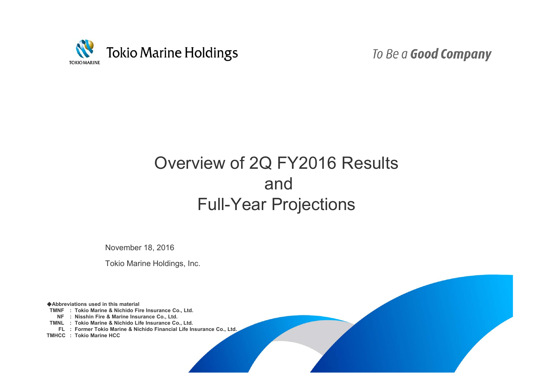

To Be a Good Company

# Overview of 2Q FY2016 Results and Full-Year Projections

November 18, 2016

Tokio Marine Holdings, Inc.

◆**Abbreviations used in this material**

**TMNF : Tokio Marine & Nichido Fire Insurance Co., Ltd.**

**NF : Nisshin Fire & Marine Insurance Co., Ltd.**

**TMNL : Tokio Marine & Nichido Life Insurance Co., Ltd.**

**FL : Former Tokio Marine & Nichido Financial Life Insurance Co., Ltd.** 

**TMHCC : Tokio Marine HCC**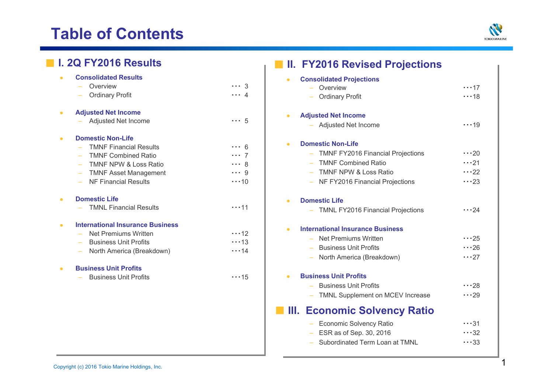# **Table of Contents**



・・・17

 $\cdots$ 19

 $\cdots$  20  $\cdots$  21  $\cdots$  22  $\cdots$  23

 $\cdots$  24

 $\cdots$  25  $\cdots$  26  $\cdots$  27

 $\cdots$  28  $\cdots$  29

 $\cdots$  32  $\cdots$ 33

| <b>Consolidated Results</b><br>$\bullet$<br><b>Consolidated Projections</b><br>Overview<br>$\cdots$ 3<br>$-$ Overview                                                                                                                                                                                                                                                                                                                                 | $\cdots$ 17<br>$\cdots$ 18                               |
|-------------------------------------------------------------------------------------------------------------------------------------------------------------------------------------------------------------------------------------------------------------------------------------------------------------------------------------------------------------------------------------------------------------------------------------------------------|----------------------------------------------------------|
| <b>Ordinary Profit</b><br>4<br><b>Ordinary Profit</b>                                                                                                                                                                                                                                                                                                                                                                                                 |                                                          |
| <b>Adjusted Net Income</b><br>$\bullet$<br><b>Adjusted Net Income</b><br>- Adjusted Net Income<br>$\cdots 5$<br>- Adjusted Net Income                                                                                                                                                                                                                                                                                                                 | $\cdots$ 19                                              |
| <b>Domestic Non-Life</b><br>$\bullet$<br><b>Domestic Non-Life</b><br>$\bullet$<br><b>TMNF Financial Results</b><br>$\cdots$ 6<br>- TMNF FY2016 Financial Projections<br><b>TMNF Combined Ratio</b><br>$\cdots$ 7<br>- TMNF Combined Ratio<br>TMNF NPW & Loss Ratio<br>$\cdots$ 8<br><b>TMNF NPW &amp; Loss Ratio</b><br><b>TMNF Asset Management</b><br>$\cdots$ 9<br><b>NF Financial Results</b><br>- NF FY2016 Financial Projections<br>$\cdots$ 10 | $\cdots$ 20<br>$\cdots$ 21<br>$\cdots$ 22<br>$\cdots$ 23 |
| <b>Domestic Life</b><br>$\bullet$<br><b>Domestic Life</b><br><b>TMNL Financial Results</b><br>$\cdots$ 11<br>- TMNL FY2016 Financial Projections                                                                                                                                                                                                                                                                                                      | $\cdots$ 24                                              |
| <b>International Insurance Business</b><br>$\bullet$<br><b>International Insurance Business</b><br>$\bullet$<br>$\cdots$ 12<br>Net Premiums Written<br>- Net Premiums Written<br><b>Business Unit Profits</b><br>$\cdots$ 13<br><b>Business Unit Profits</b><br>North America (Breakdown)<br>$\cdots$ 14<br>North America (Breakdown)                                                                                                                 | $\cdots$ 25<br>$\cdots$ 26<br>$\cdots$ 27                |
| <b>Business Unit Profits</b><br>$\bullet$<br><b>Business Unit Profits</b><br><b>Business Unit Profits</b><br>$\cdots$ 15<br>- Business Unit Profits<br>- TMNL Supplement on MCEV Increase                                                                                                                                                                                                                                                             | $\cdots$ 28<br>$\cdots$ 29                               |
| <b>III. Economic Solvency Ratio</b>                                                                                                                                                                                                                                                                                                                                                                                                                   |                                                          |
| - Economic Solvency Ratio                                                                                                                                                                                                                                                                                                                                                                                                                             | $\cdots$ 31                                              |
| ESR as of Sep. 30, 2016<br>- Subordinated Term Loan at TMNL                                                                                                                                                                                                                                                                                                                                                                                           | $\cdots$ 32<br>$\cdots$ 33                               |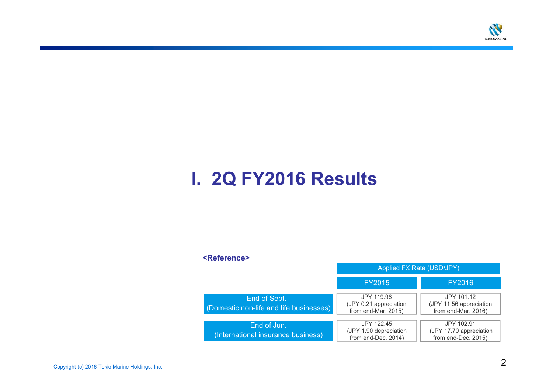

# **I. 2Q FY2016 Results**

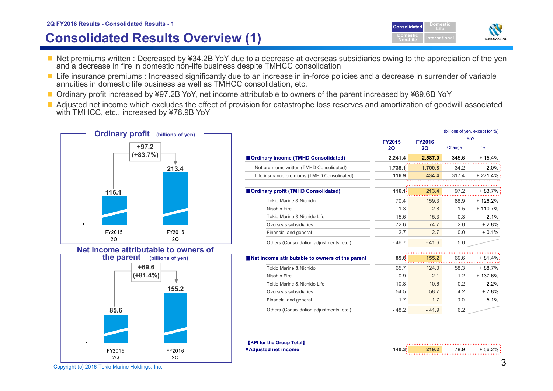# **Consolidated Results Overview (1)**



- Net premiums written : Decreased by ¥34.2B YoY due to a decrease at overseas subsidiaries owing to the appreciation of the yen and a decrease in fire in domestic non-life business despite TMHCC consolidation
- Life insurance premiums : Increased significantly due to an increase in in-force policies and a decrease in surrender of variable annuities in domestic life business as well as TMHCC consolidation, etc.
- Ordinary profit increased by ¥97.2B YoY, net income attributable to owners of the parent increased by ¥69.6B YoY
- Adjusted net income which excludes the effect of provision for catastrophe loss reserves and amortization of goodwill associated with TMHCC, etc., increased by ¥78.9B YoY

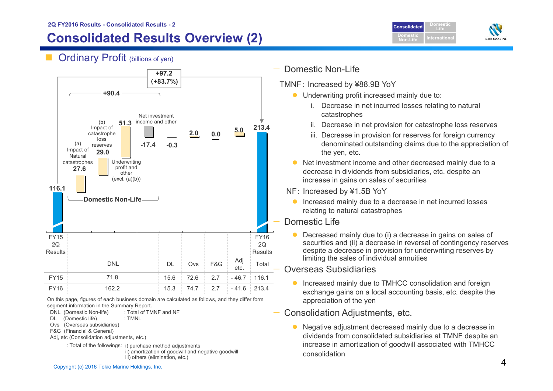# **Consolidated Results Overview (2)**

**DomesticConsolidatedLifeDomesticTOKIO MARINE Non-Life**

**Ordinary Profit (billions of yen)** 



On this page, figures of each business domain are calculated as follows, and they differ form segment information in the Summary Report.

- DNL (Domestic Non-life) : Total of TMNF and NF
- DL (Domestic life) : TMNL
- Ovs (Overseas subsidiaries)
- F&G (Financial & General)
- Adj, etc (Consolidation adjustments, etc.)
	- : Total of the followings: i) purchase method adjustments ii) amortization of goodwill and negative goodwill iii) others (elimination, etc.)

## Domestic Non-Life

- TMNF: Increased by ¥88.9B YoY
	- **•** Underwriting profit increased mainly due to:
		- i. Decrease in net incurred losses relating to natural catastrophes
		- ii. Decrease in net provision for catastrophe loss reserves
		- iii. Decrease in provision for reserves for foreign currency denominated outstanding claims due to the appreciation of the yen, etc.
	- Net investment income and other decreased mainly due to a decrease in dividends from subsidiaries, etc. despite an increase in gains on sales of securities
	- NF: Increased by ¥1.5B YoY
		- **Increased mainly due to a decrease in net incurred losses** relating to natural catastrophes

## Domestic Life

 Decreased mainly due to (i) a decrease in gains on sales of securities and (ii) a decrease in reversal of contingency reserves despite a decrease in provision for underwriting reserves by limiting the sales of individual annuities

## Overseas Subsidiaries

- Increased mainly due to TMHCC consolidation and foreign exchange gains on a local accounting basis, etc. despite the appreciation of the yen
- Consolidation Adjustments, etc.
	- $\bullet$  Negative adjustment decreased mainly due to a decrease in dividends from consolidated subsidiaries at TMNF despite an increase in amortization of goodwill associated with TMHCC consolidation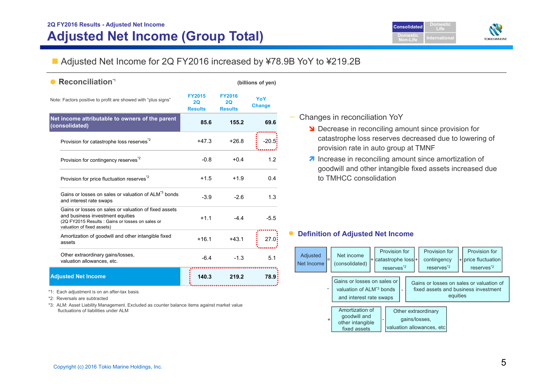

## ■ Adjusted Net Income for 2Q FY2016 increased by ¥78.9B YoY to ¥219.2B

| <b>Reconciliation</b> <sup>1</sup>                                                                                                                                          |                                       |                                       | (billions of yen)    |
|-----------------------------------------------------------------------------------------------------------------------------------------------------------------------------|---------------------------------------|---------------------------------------|----------------------|
| Note: Factors positive to profit are showed with "plus signs"                                                                                                               | <b>FY2015</b><br>20<br><b>Results</b> | <b>FY2016</b><br>20<br><b>Results</b> | YoY<br><b>Change</b> |
| Net income attributable to owners of the parent<br>(consolidated)                                                                                                           | 85.6                                  | 155.2                                 | 69.6                 |
| Provision for catastrophe loss reserves <sup>2</sup>                                                                                                                        | $+47.3$                               | $+26.8$                               | $-20.5$              |
| Provision for contingency reserves <sup>*2</sup>                                                                                                                            | $-0.8$                                | $+0.4$                                | 1.2                  |
| Provision for price fluctuation reserves <sup>*2</sup>                                                                                                                      | $+1.5$                                | $+1.9$                                | 0.4                  |
| Gains or losses on sales or valuation of ALM <sup>*3</sup> bonds<br>and interest rate swaps                                                                                 | $-3.9$                                | $-2.6$                                | 1.3                  |
| Gains or losses on sales or valuation of fixed assets<br>and business investment equities<br>(2Q FY2015 Results : Gains or losses on sales or<br>valuation of fixed assets) | $+1.1$                                | $-4.4$                                | $-5.5$               |
| Amortization of goodwill and other intangible fixed<br>assets                                                                                                               | $+16.1$                               | $+43.1$                               | 27.0                 |
| Other extraordinary gains/losses,<br>valuation allowances, etc.                                                                                                             | $-6.4$                                | $-1.3$                                | 5.1                  |
| <b>Adjusted Net Income</b>                                                                                                                                                  | 140.3                                 | 219.2                                 | 78.9                 |

#### —Changes in reconciliation YoY

- **N** Decrease in reconciling amount since provision for catastrophe loss reserves decreased due to lowering of provision rate in auto group at TMNF
- $\lambda$  Increase in reconciling amount since amortization of goodwill and other intangible fixed assets increased due to TMHCC consolidation

#### $\bullet$ **Definition of Adjusted Net Income**

| Adjusted<br>-<br>Net Income  | Net income<br>(consolidated)                                                                   |  | Provision for<br>+ catastrophe loss +<br>reserves <sup>*2</sup> |  | Provision for<br>contingency<br>reserves <sup>*2</sup>            |          | Provision for<br>+ price fluctuation<br>reserves <sup>*2</sup>                   |  |
|------------------------------|------------------------------------------------------------------------------------------------|--|-----------------------------------------------------------------|--|-------------------------------------------------------------------|----------|----------------------------------------------------------------------------------|--|
| $\qquad \qquad \blacksquare$ | Gains or losses on sales or<br>valuation of ALM <sup>*3</sup> bonds<br>and interest rate swaps |  |                                                                 |  |                                                                   | equities | Gains or losses on sales or valuation of<br>fixed assets and business investment |  |
| +                            | Amortization of<br>goodwill and<br>other intangible<br>fixed assets                            |  |                                                                 |  | Other extraordinary<br>gains/losses,<br>valuation allowances, etc |          |                                                                                  |  |

\*1: Each adjustment is on an after-tax basis

\*2: Reversals are subtracted

\*3: ALM: Asset Liability Management. Excluded as counter balance items against market value fluctuations of liabilities under ALM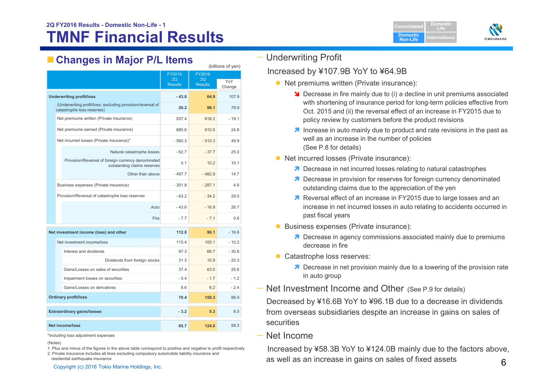# **Changes in Major P/L Items**

|                             |                                                                                          | FY2015         | P<br>FY2016    |         |  |
|-----------------------------|------------------------------------------------------------------------------------------|----------------|----------------|---------|--|
|                             |                                                                                          | 2O             | 2O             | YoY     |  |
|                             |                                                                                          | <b>Results</b> | <b>Results</b> | Change  |  |
|                             | <b>Underwriting profit/loss</b>                                                          | $-43.0$        | 64.9           | 107.9   |  |
|                             | (Underwriting profit/loss: excluding provision/reversal of<br>catastrophe loss reserves) | 20.2           | 99.1           | 78.9    |  |
|                             | Net premiums written (Private insurance)                                                 | 937.4          | 918.2          | $-19.1$ |  |
|                             | Net premiums earned (Private insurance)                                                  | 885.6          | 910.5          | 24.8    |  |
|                             | Net incurred losses (Private insurance)*                                                 | $-560.3$       | $-510.3$       | 49.9    |  |
|                             | Natural catastrophe losses                                                               | $-62.7$        | $-37.7$        | 25.0    |  |
|                             | Provision/Reversal of foreign currency denominated<br>outstanding claims reserves        | 0.1            | 10.2           | 10.1    |  |
|                             | Other than above                                                                         | $-497.7$       | $-482.9$       | 14.7    |  |
|                             | Business expenses (Private insurance)                                                    | $-301.8$       | $-297.1$       | 4.6     |  |
|                             | Provision/Reversal of catastrophe loss reserves                                          | $-63.2$        | $-34.2$        | 29.0    |  |
|                             | Auto                                                                                     | $-43.6$        | $-16.9$        | 26.7    |  |
|                             | Fire                                                                                     | $-7.7$         | $-7.1$         | 0.6     |  |
|                             | Net investment income (loss) and other                                                   | 112.8          | 96.1           | $-16.6$ |  |
|                             | Net investment income/loss                                                               | 115.4          | 105.1          | $-10.2$ |  |
|                             | Interest and dividends                                                                   | 97.3           | 66.7           | $-30.6$ |  |
|                             | Dividends from foreign stocks                                                            | 31.3           | 10.9           | $-20.3$ |  |
|                             | Gains/Losses on sales of securities                                                      | 37.4           | 63.0           | 25.6    |  |
|                             | Impairment losses on securities                                                          | $-0.4$         | $-1.7$         | $-1.2$  |  |
|                             | Gains/Losses on derivatives                                                              | 8.6            | 6.2            | $-2.4$  |  |
| <b>Ordinary profit/loss</b> |                                                                                          | 70.4           | 159.3          | 88.9    |  |
|                             | <b>Extraordinary gains/losses</b>                                                        | $-3.2$         | 5.3            | 8.5     |  |
|                             | <b>Net income/loss</b>                                                                   | 65.7           | 124.0          | 58.3    |  |

\*Including loss adjustment expenses

(Notes)

1. Plus and minus of the figures in the above table correspond to positive and negative to profit respectively 2. Private insurance includes all lines excluding compulsory automobile liability insurance and

residential earthquake insurance

— Underwriting Profit

Increased by ¥107.9B YoY to ¥64.9B

- Net premiums written (Private insurance):
	- **N** Decrease in fire mainly due to (i) a decline in unit premiums associated with shortening of insurance period for long-term policies effective from Oct. 2015 and (ii) the reversal effect of an increase in FY2015 due to policy review by customers before the product revisions
	- **1** Increase in auto mainly due to product and rate revisions in the past as well as an increase in the number of policies (See P.8 for details)
- Net incurred losses (Private insurance):
	- **7** Decrease in net incurred losses relating to natural catastrophes
	- **7** Decrease in provision for reserves for foreign currency denominated outstanding claims due to the appreciation of the yen
	- **A** Reversal effect of an increase in FY2015 due to large losses and an increase in net incurred losses in auto relating to accidents occurred in past fiscal years
- **Business expenses (Private insurance):** 
	- **7** Decrease in agency commissions associated mainly due to premiums decrease in fire
- Catastrophe loss reserves:
	- **7** Decrease in net provision mainly due to a lowering of the provision rate in auto group
- Net Investment Income and Other (See P.9 for details) Decreased by ¥16.6B YoY to ¥96.1B due to a decrease in dividends from overseas subsidiaries despite an increase in gains on sales of securities
- Net Income

 $\mathsf{C}$ opyright (c) 2016 Tokio Marine Holdings, Inc. 6  $\mathsf{C}$ Increased by ¥58.3B YoY to ¥124.0B mainly due to the factors above,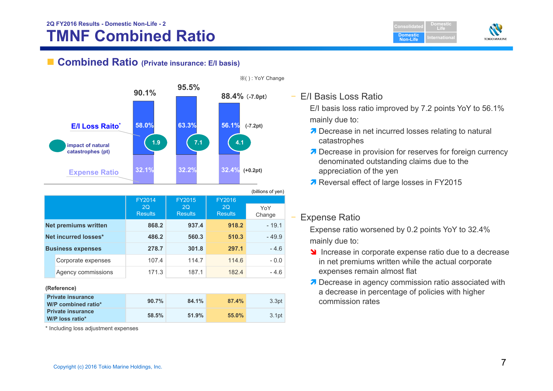# **TMNF Combined Ratio 2Q FY2016 Results - Domestic Non-Life - <sup>2</sup> Consolidated**

■ Combined Ratio (Private insurance: E/I basis)



|                          |                             |                                       |                                |                                | (billions of yen) |
|--------------------------|-----------------------------|---------------------------------------|--------------------------------|--------------------------------|-------------------|
|                          |                             | <b>FY2014</b><br>2Q<br><b>Results</b> | FY2015<br>2Q<br><b>Results</b> | FY2016<br>2Q<br><b>Results</b> | YoY<br>Change     |
|                          | <b>Net premiums written</b> | 868.2                                 | 937.4                          | 918.2                          | $-19.1$           |
| Net incurred losses*     |                             | 486.2                                 | 560.3                          | 510.3                          | $-49.9$           |
| <b>Business expenses</b> |                             | 278.7                                 | 301.8                          | 297.1                          | $-4.6$            |
|                          | Corporate expenses          | 107.4                                 | 114.7                          | 114.6                          | $-0.0$            |
|                          | Agency commissions          | 171.3                                 | 187.1                          | 182.4                          | $-4.6$            |

### **(Reference)**

| <b>Private insurance</b><br>W/P combined ratio* | 90.7% | 84.1% | 87.4% | 3.3 <sub>pt</sub> |
|-------------------------------------------------|-------|-------|-------|-------------------|
| <b>Private insurance</b><br>W/P loss ratio*     | 58.5% | 51.9% | 55.0% | 3.1pt             |

\* Including loss adjustment expenses

- E/I Basis Loss Ratio
	- E/I basis loss ratio improved by 7.2 points YoY to 56.1% mainly due to:

**DomesticNon-Life**

**DomesticLife**

**TOKIO MARINE** 

- **7** Decrease in net incurred losses relating to natural catastrophes
- **7** Decrease in provision for reserves for foreign currency denominated outstanding claims due to the appreciation of the yen
- 7 Reversal effect of large losses in FY2015

#### –Expense Ratio

Expense ratio worsened by 0.2 points YoY to 32.4% mainly due to:

- Increase in corporate expense ratio due to a decrease in net premiums written while the actual corporate expenses remain almost flat
- **7** Decrease in agency commission ratio associated with a decrease in percentage of policies with higher commission rates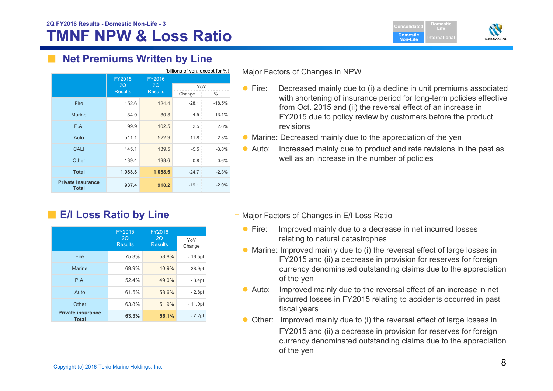# **TMNF NPW & Loss Ratio 2Q FY2016 Results - Domestic Non-Life - <sup>3</sup> Consolidated**





# **Net Premiums Written by Line**

| (billions of yen, except for %)          |                |                |         |          |  |
|------------------------------------------|----------------|----------------|---------|----------|--|
|                                          | FY2015<br>2Q   | FY2016<br>2Q   | YoY     |          |  |
|                                          | <b>Results</b> | <b>Results</b> | Change  | %        |  |
| Fire                                     | 152.6          | 124.4          | $-28.1$ | $-18.5%$ |  |
| Marine                                   | 34.9           | 30.3           | $-4.5$  | $-13.1%$ |  |
| <b>P.A.</b>                              | 99.9           | 102.5          | 2.5     | 2.6%     |  |
| Auto                                     | 511.1          | 522.9          | 11.8    | 2.3%     |  |
| <b>CALI</b>                              | 145.1          | 139.5          | $-5.5$  | $-3.8%$  |  |
| Other                                    | 139.4          | 138.6          | $-0.8$  | $-0.6%$  |  |
| <b>Total</b>                             | 1,083.3        | 1,058.6        | $-24.7$ | $-2.3%$  |  |
| <b>Private insurance</b><br><b>Total</b> | 937.4          | 918.2          | $-19.1$ | $-2.0%$  |  |

■ **E/I Loss Ratio by Line** 

|                                          | FY2015               | <b>FY2016</b>        |               |
|------------------------------------------|----------------------|----------------------|---------------|
|                                          | 2Q<br><b>Results</b> | 2Q<br><b>Results</b> | YoY<br>Change |
| Fire                                     | 75.3%                | 58.8%                | $-16.5pt$     |
| <b>Marine</b>                            | 69.9%                | 40.9%                | $-28.9pt$     |
| P.A.                                     | 52.4%                | 49.0%                | $-3.4pt$      |
| Auto                                     | 61.5%                | 58.6%                | $-2.8pt$      |
| Other                                    | 63.8%                | 51.9%                | $-11.9pt$     |
| <b>Private insurance</b><br><b>Total</b> | 63.3%                | 56.1%                | $-7.2pt$      |

Major Factors of Changes in NPW

- $\bullet$  Fire: Decreased mainly due to (i) a decline in unit premiums associated with shortening of insurance period for long-term policies effective from Oct. 2015 and (ii) the reversal effect of an increase in FY2015 due to policy review by customers before the product revisions
- Marine: Decreased mainly due to the appreciation of the yen
- $\bullet$  Auto: Increased mainly due to product and rate revisions in the past as well as an increase in the number of policies

- Major Factors of Changes in E/I Loss Ratio
	- $\bullet$  Fire: Improved mainly due to a decrease in net incurred losses relating to natural catastrophes
	- Marine: Improved mainly due to (i) the reversal effect of large losses in FY2015 and (ii) a decrease in provision for reserves for foreign currency denominated outstanding claims due to the appreciation of the yen
	- $\bullet$  Auto: Improved mainly due to the reversal effect of an increase in net incurred losses in FY2015 relating to accidents occurred in past fiscal years
	- Other: Improved mainly due to (i) the reversal effect of large losses in FY2015 and (ii) a decrease in provision for reserves for foreign currency denominated outstanding claims due to the appreciation of the yen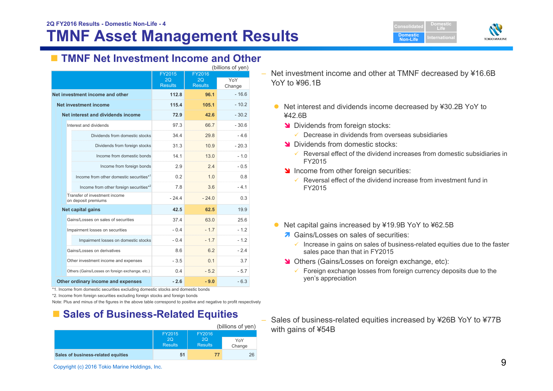# **TMNF Asset Management Results**





# **TMNF Net Investment Income and Other**

| (billions of yen)                                    |                      |                |         |  |  |  |
|------------------------------------------------------|----------------------|----------------|---------|--|--|--|
|                                                      | FY2015               | FY2016         |         |  |  |  |
|                                                      | 2Q<br><b>Results</b> | 2Q             | YoY     |  |  |  |
|                                                      |                      | <b>Results</b> | Change  |  |  |  |
| Net investment income and other                      | 112.8                | 96.1           | $-16.6$ |  |  |  |
| Net investment income                                | 115.4                | 105.1          | $-10.2$ |  |  |  |
| Net interest and dividends income                    | 72.9                 | 42.6           | $-30.2$ |  |  |  |
| Interest and dividends                               | 97.3                 | 66.7           | $-30.6$ |  |  |  |
| Dividends from domestic stocks                       | 34.4                 | 29.8           | $-4.6$  |  |  |  |
| Dividends from foreign stocks                        | 31.3                 | 10.9           | $-20.3$ |  |  |  |
| Income from domestic bonds                           | 14.1                 | 13.0           | $-1.0$  |  |  |  |
| Income from foreign bonds                            | 2.9                  | 2.4            | $-0.5$  |  |  |  |
| Income from other domestic securities <sup>*1</sup>  | 0.2                  | 1.0            | 0.8     |  |  |  |
| Income from other foreign securities*2               | 7.8                  | 3.6            | $-4.1$  |  |  |  |
| Transfer of investment income<br>on deposit premiums | $-24.4$              | $-24.0$        | 0.3     |  |  |  |
| Net capital gains                                    | 42.5                 | 62.5           | 19.9    |  |  |  |
| Gains/Losses on sales of securities                  | 37.4                 | 63.0           | 25.6    |  |  |  |
| Impairment losses on securities                      | $-0.4$               | $-1.7$         | $-1.2$  |  |  |  |
| Impairment losses on domestic stocks                 | $-0.4$               | $-1.7$         | $-1.2$  |  |  |  |
| Gains/Losses on derivatives                          | 8.6                  | 6.2            | $-2.4$  |  |  |  |
| Other investment income and expenses                 | $-3.5$               | 0.1            | 3.7     |  |  |  |
| Others (Gains/Losses on foreign exchange, etc.)      | 0.4                  | $-5.2$         | $-5.7$  |  |  |  |
| Other ordinary income and expenses                   | $-2.6$               | $-9.0$         | $-6.3$  |  |  |  |

\*1. Income from domestic securities excluding domestic stocks and domestic bonds

\*2. Income from foreign securities excluding foreign stocks and foreign bonds

Note: Plus and minus of the figures in the above table correspond to positive and negative to profit respectively

# ■ Sales of Business-Related Equities

|                                    |                      |                      | (billions of yen) |
|------------------------------------|----------------------|----------------------|-------------------|
|                                    | FY2015               |                      |                   |
|                                    | 2O<br><b>Results</b> | 2O<br><b>Results</b> | YoY<br>Change     |
| Sales of business-related equities | 51                   | 77                   | 26                |

– Net investment income and other at TMNF decreased by ¥16.6B YoY to ¥96.1B

- Net interest and dividends income decreased by ¥30.2B YoY to ¥42.6B
	- **N** Dividends from foreign stocks:
		- $\checkmark$ Decrease in dividends from overseas subsidiaries
	- **N** Dividends from domestic stocks:
		- $\checkmark$  Reversal effect of the dividend increases from domestic subsidiaries in FY2015
	- Income from other foreign securities:
		- $\checkmark$  Reversal effect of the dividend increase from investment fund in FY2015
- Net capital gains increased by ¥19.9B YoY to ¥62.5B
	- **A** Gains/Losses on sales of securities:
		- $\checkmark$  Increase in gains on sales of business-related equities due to the faster sales pace than that in FY2015
	- **N** Others (Gains/Losses on foreign exchange, etc):
		- $\checkmark$  Foreign exchange losses from foreign currency deposits due to the yen's appreciation
- Sales of business-related equities increased by ¥26B YoY to ¥77B with gains of ¥54B

Copyright (c) 2016 Tokio Marine Holdings, Inc. 9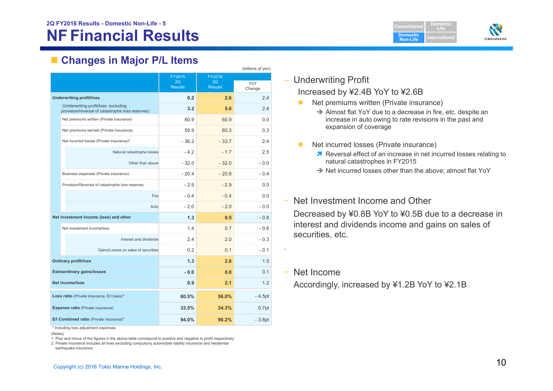**Domestic Non-LifeDomesticLifeIternationa** 



# **Changes in Major P/L Items**

|                                            | (billions of yen)                                                                        |                |                |                   |  |  |  |  |
|--------------------------------------------|------------------------------------------------------------------------------------------|----------------|----------------|-------------------|--|--|--|--|
|                                            |                                                                                          | FY2015         | FY2016         |                   |  |  |  |  |
|                                            |                                                                                          | 2Q             | 2Q             | YoY               |  |  |  |  |
|                                            |                                                                                          | <b>Results</b> | <b>Results</b> | Change            |  |  |  |  |
|                                            | <b>Underwriting profit/loss</b>                                                          | 0.2            | 2.6            | 2.4               |  |  |  |  |
|                                            | (Underwriting profit/loss: excluding<br>provision/reversal of catastrophe loss reserves) | 3.2            | 5.6            | 2.4               |  |  |  |  |
|                                            | Net premiums written (Private insurance)                                                 | 60.9           | 60.9           | 0.0               |  |  |  |  |
|                                            | Net premiums earned (Private insurance)                                                  | 59.9           | 60.3           | 0.3               |  |  |  |  |
|                                            | Net incurred losses (Private insurance)*                                                 | $-36.2$        | $-33.7$        | 2.4               |  |  |  |  |
|                                            | Natural catastrophe losses                                                               | $-4.2$         | $-1.7$         | 2.5               |  |  |  |  |
|                                            | Other than above                                                                         | $-32.0$        | $-32.0$        | $-0.0$            |  |  |  |  |
|                                            | Business expenses (Private insurance)                                                    | $-20.4$        | $-20.8$        | $-0.4$            |  |  |  |  |
|                                            | Provision/Reversal of catastrophe loss reserves                                          | $-2.9$         | $-2.9$         | 0.0               |  |  |  |  |
|                                            | Fire                                                                                     | $-0.4$         | $-0.4$         | 0.0               |  |  |  |  |
|                                            | Auto                                                                                     | $-2.0$         | $-2.0$         | $-0.0$            |  |  |  |  |
|                                            | Net investment income (loss) and other                                                   | 1.3            | 0.5            | $-0.8$            |  |  |  |  |
|                                            | Net investment income/loss                                                               | 1.4            | 0.7            | $-0.6$            |  |  |  |  |
|                                            | Interest and dividends                                                                   | 24             | 2.0            | $-0.3$            |  |  |  |  |
|                                            | Gains/Losses on sales of securities                                                      | 0.2            | 0.1            | $-0.1$            |  |  |  |  |
|                                            | <b>Ordinary profit/loss</b>                                                              | 1.3            | 2.8            | 1.5               |  |  |  |  |
| <b>Extraordinary gains/losses</b>          |                                                                                          | $-0.0$         | 0.0            | 0.1               |  |  |  |  |
| Net income/loss                            |                                                                                          | 0.9            | 2.1            | 1.2               |  |  |  |  |
| Loss ratio (Private insurance, E/I basis)* |                                                                                          | 60.5%          | 56.0%          | $-4.5pt$          |  |  |  |  |
|                                            | <b>Expense ratio (Private insurance)</b>                                                 | 33.5%          | 34.3%          | 0.7 <sub>pt</sub> |  |  |  |  |
|                                            | E/I Combined ratio (Private insurance)*                                                  | 94.0%          | 90.2%          | $-3.8pt$          |  |  |  |  |

\* Including loss adjustment expenses

(Notes)

1. Plus and minus of the figures in the above table correspond to positive and negative to profit respectively

2. Private insurance includes all lines excluding compulsory automobile liability insurance and residential earthquake insurance

## – Underwriting Profit

## Increased by ¥2.4B YoY to ¥2.6B

- $\bullet$  Net premiums written (Private insurance)  $\rightarrow$  Almost flat YoY due to a decrease in fire, etc. despite an increase in auto owing to rate revisions in the past and expansion of coverage
- $\bullet$  Net incurred losses (Private insurance)
	- **Reversal effect of an increase in net incurred losses relating to** natural catastrophes in FY2015
	- → Net incurred losses other than the above; almost flat YoY

#### ‒Net Investment Income and Other

Decreased by ¥0.8B YoY to ¥0.5B due to a decrease in interest and dividends income and gains on sales of securities, etc.

‒ Net Income

Accordingly, increased by ¥1.2B YoY to ¥2.1B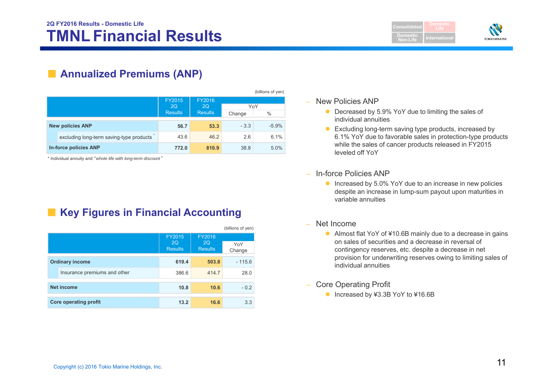**Consolidated Domestic Non-LifeLife**



# ■ **Annualized Premiums (ANP)**

|  |                                          |                             |                      |               | (billions of yen) |
|--|------------------------------------------|-----------------------------|----------------------|---------------|-------------------|
|  |                                          | <b>FY2015</b>               | FY2016               |               |                   |
|  |                                          | <b>2Q</b><br><b>Results</b> | 2Q<br><b>Results</b> | YoY<br>Change | $\frac{0}{0}$     |
|  |                                          |                             |                      |               |                   |
|  | <b>New policies ANP</b>                  | 56.7                        | 53.3                 | $-3.3$        | $-5.9%$           |
|  | excluding long-term saving-type products | 43.6                        | 46.2                 | 2.6           | 6.1%              |
|  | <b>In-force policies ANP</b>             | 772.0                       | 810.9                | 38.8          | 5.0%              |

\* Individual annuity and "*whole life with long-term discount* "

# ■ Key Figures in Financial Accounting

|                              |                                |                                       | (billions of yen) |  |
|------------------------------|--------------------------------|---------------------------------------|-------------------|--|
|                              | FY2015<br>2Q<br><b>Results</b> | FY2016<br><b>2Q</b><br><b>Results</b> | YoY<br>Change     |  |
| <b>Ordinary income</b>       | 619.4                          | 503.8                                 | $-115.6$          |  |
| Insurance premiums and other | 386.6                          | 414.7                                 | 28.0              |  |
| <b>Net income</b>            | 10.8                           | 10.6                                  | $-0.2$            |  |
| <b>Core operating profit</b> | 13.2                           | 16.6                                  | 3.3               |  |

### – New Policies ANP

- Decreased by 5.9% YoY due to limiting the sales of individual annuities
- Excluding long-term saving type products, increased by 6.1% YoY due to favorable sales in protection-type products while the sales of cancer products released in FY2015 leveled off YoY
- – In-force Policies ANP
	- Increased by 5.0% YoY due to an increase in new policies despite an increase in lump-sum payout upon maturities in variable annuities
- Net Income
	- Almost flat YoY of ¥10.6B mainly due to a decrease in gains on sales of securities and a decrease in reversal of contingency reserves, etc. despite a decrease in net provision for underwriting reserves owing to limiting sales of individual annuities
- Core Operating Profit
	- Increased by ¥3.3B YoY to ¥16.6B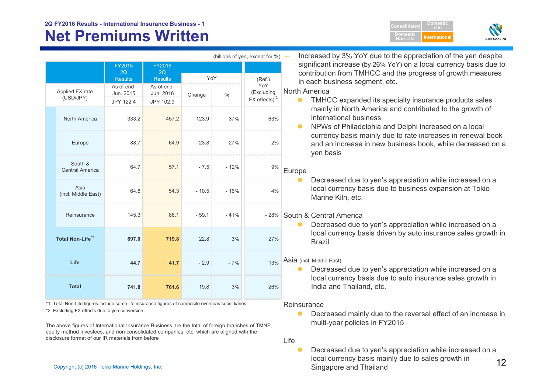# **Net Premiums Written**

**Domestic Non-LifeInternational**

**DomesticLife**



|                                   |                                      |                                      |         |        | (billions of yen, except for %) -       | Increased by 3% YoY due to the appreciation of the yen despite                                                                                          |
|-----------------------------------|--------------------------------------|--------------------------------------|---------|--------|-----------------------------------------|---------------------------------------------------------------------------------------------------------------------------------------------------------|
|                                   | FY2015<br>2Q<br><b>Results</b>       | FY2016<br>2Q<br>Results              | YoY     |        | (Ref.)                                  | significant increase (by 26% YoY) on a local currency basis due to<br>contribution from TMHCC and the progress of growth measures                       |
| Applied FX rate<br>(USD/JPY)      | As of end-<br>Jun. 2015<br>JPY 122.4 | As of end-<br>Jun. 2016<br>JPY 102.9 | Change  | $\%$   | YoY<br>(Excluding<br>$FX$ effects) $^2$ | in each business segment, etc.<br><b>North America</b><br>TMHCC expanded its specialty insurance products sales<br>$\bullet$                            |
| North America                     | 333.2                                | 457.2                                | 123.9   | 37%    | 63%                                     | mainly in North America and contributed to the growth of<br>international business<br>NPWs of Philadelphia and Delphi increased on a local<br>$\bullet$ |
| Europe                            | 88.7                                 | 64.9                                 | $-23.8$ | $-27%$ | 2%                                      | currency basis mainly due to rate increases in renewal book<br>and an increase in new business book, while decreased on a<br>yen basis                  |
| South &<br><b>Central America</b> | 64.7                                 | 57.1                                 | $-7.5$  | $-12%$ | 9%                                      | Europe                                                                                                                                                  |
| Asia<br>(incl. Middle East)       | 64.8                                 | 54.3                                 | $-10.5$ | $-16%$ | 4%                                      | Decreased due to yen's appreciation while increased on a<br>local currency basis due to business expansion at Tokio<br>Marine Kiln, etc.                |
| Reinsurance                       | 145.3                                | 86.1                                 | $-59.1$ | $-41%$ |                                         | -28% South & Central America<br>Decreased due to yen's appreciation while increased on a<br>$\bullet$                                                   |
| Total Non-Life <sup>*1</sup>      | 697.0                                | 719.8                                | 22.8    | 3%     | 27%                                     | local currency basis driven by auto insurance sales growth in<br><b>Brazil</b>                                                                          |
| Life                              | 44.7                                 | 41.7                                 | $-2.9$  | $-7%$  | 13%                                     | Asia (incl. Middle East)<br>Decreased due to yen's appreciation while increased on a<br>$\bullet$                                                       |
| <b>Total</b>                      | 741.8                                | 761.6                                | 19.8    | 3%     | 26%                                     | local currency basis due to auto insurance sales growth in<br>India and Thailand, etc.                                                                  |

\*1: Total Non-Life figures include some life insurance figures of composite overseas subsidiaries

\*2: Excluding FX effects due to yen conversion

The above figures of International Insurance Business are the total of foreign branches of TMNF, equity method investees, and non-consolidated companies, etc. which are aligned with the disclosure format of our IR materials from before

 $\bullet$  Decreased mainly due to the reversal effect of an increase in multi-year policies in FY2015

Life

Reinsurance

local currency basis mainly due to sales growth in ها المستخدم المستخدم المستخدم المستخدم المستخدم المستخدم ال<br>Singapore and Thailand  $\bullet$  Decreased due to yen's appreciation while increased on a Singapore and Thailand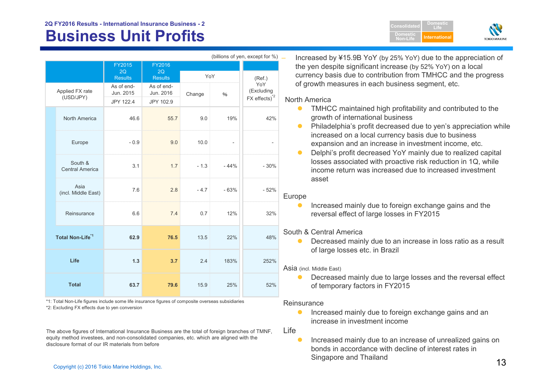## **2Q FY2016 Results - International Insurance Business - 2**

# **Business Unit Profits Algorithment Computer Seconds International**

|                                   |                         |                         |        |        | (billions of yen, except for %) |
|-----------------------------------|-------------------------|-------------------------|--------|--------|---------------------------------|
|                                   | <b>FY2015</b>           | <b>FY2016</b>           |        |        |                                 |
|                                   | 2Q<br><b>Results</b>    | 2Q<br><b>Results</b>    | YoY    |        | (Ref.)                          |
| Applied FX rate<br>(USD/JPY)      | As of end-<br>Jun. 2015 | As of end-<br>Jun. 2016 | Change | $\%$   | YoY<br>(Excluding               |
|                                   | JPY 122.4               | JPY 102.9               |        |        | FX effects) <sup>2</sup>        |
| North America                     | 46.6                    | 55.7                    | 9.0    | 19%    | 42%                             |
| Europe                            | $-0.9$                  | 9.0                     | 10.0   |        | -                               |
| South &<br><b>Central America</b> | 3.1                     | 1.7                     | $-1.3$ | $-44%$ | $-30%$                          |
| Asia<br>(incl. Middle East)       | 7.6                     | 2.8                     | $-4.7$ | $-63%$ | $-52%$                          |
| Reinsurance                       | 6.6                     | 7.4                     | 0.7    | 12%    | 32%                             |
| Total Non-Life <sup>*1</sup>      | 62.9                    | 76.5                    | 13.5   | 22%    | 48%                             |
| Life                              | 1.3                     | 3.7                     | 2.4    | 183%   | 252%                            |
| <b>Total</b>                      | 63.7                    | 79.6                    | 15.9   | 25%    | 52%                             |

\*2: Excluding FX effects due to yen conversion \*1: Total Non-Life figures include some life insurance figures of composite overseas subsidiaries

The above figures of International Insurance Business are the total of foreign branches of TMNF, equity method investees, and non-consolidated companies, etc. which are aligned with the disclosure format of our IR materials from before

 Increased by ¥15.9B YoY (by 25% YoY) due to the appreciation of the yen despite significant increase (by 52% YoY) on a local currency basis due to contribution from TMHCC and the progress of growth measures in each business segment, etc.

**ConsolidatedDomesticNon-Life**

**DomesticLife**

**TOKIO MARINE** 

### North America

- $\bullet$  TMHCC maintained high profitability and contributed to the growth of international business
- $\bullet$  Philadelphia's profit decreased due to yen's appreciation while increased on a local currency basis due to business expansion and an increase in investment income, etc.
- $\bullet$  Delphi's profit decreased YoY mainly due to realized capital losses associated with proactive risk reduction in 1Q, while income return was increased due to increased investment asset

## Europe

 $\bullet$  Increased mainly due to foreign exchange gains and the reversal effect of large losses in FY2015

## South & Central America

 $\bullet$  Decreased mainly due to an increase in loss ratio as a result of large losses etc. in Brazil

### Asia (incl. Middle East)

 $\bullet$  Decreased mainly due to large losses and the reversal effect of temporary factors in FY2015

### **Reinsurance**

 $\bullet$  Increased mainly due to foreign exchange gains and an increase in investment income

Life

 $\frac{13}{\frac{13}{\frac{13}{\frac{13}{\frac{13}{\frac{13}{\frac{13}{\frac{13}{\frac{13}{\frac{13}{\frac{13}{\frac{13}{\frac{13}{\frac{13}{\frac{13}{\frac{13}{\frac{13}{\frac{13}{\frac{13}{\frac{13}{\frac{13}{\frac{13}{\frac{13}{\frac{13}{\frac{13}{\frac{13}{\frac{13}{\frac{13}{\frac{13}{\frac{13}{\frac{13}{\frac{13}{\frac{13}{\frac{13}{\frac{13}{\frac{13}{\frac{1$  $\bullet$  Increased mainly due to an increase of unrealized gains on bonds in accordance with decline of interest rates in Singapore and Thailand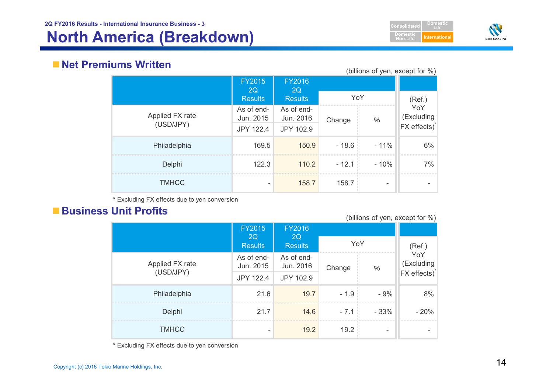# **North America (Breakdown) International**





# **Net Premiums Written**

(billions of yen, except for %)

|                              | <b>FY2015</b><br>2Q<br><b>Results</b> | <b>FY2016</b><br>2Q<br><b>Results</b> | YoY     | ,      | (Ref.)                                        |
|------------------------------|---------------------------------------|---------------------------------------|---------|--------|-----------------------------------------------|
| Applied FX rate<br>(USD/JPY) | As of end-<br>Jun. 2015               | As of end-<br>Jun. 2016               | Change  | $\%$   | YoY<br>(Excluding<br>FX effects) <sup>*</sup> |
| Philadelphia                 | <b>JPY 122.4</b><br>169.5             | JPY 102.9<br>150.9                    | $-18.6$ | $-11%$ | 6%                                            |
| Delphi                       | 122.3                                 | 110.2                                 | $-12.1$ | $-10%$ | 7%                                            |
| <b>TMHCC</b>                 |                                       | 158.7                                 | 158.7   |        |                                               |

\* Excluding FX effects due to yen conversion

# ■ Business Unit Profits

(billions of yen, except for %)

|                 | <b>FY2015</b>           | <b>FY2016</b>           |        |                          |                          |
|-----------------|-------------------------|-------------------------|--------|--------------------------|--------------------------|
|                 | 2Q<br><b>Results</b>    | 2Q<br><b>Results</b>    | YoY    |                          | (Ref.)                   |
| Applied FX rate | As of end-<br>Jun. 2015 | As of end-<br>Jun. 2016 | Change | $\%$                     | YoY<br>(Excluding        |
| (USD/JPY)       | <b>JPY 122.4</b>        | JPY 102.9               |        |                          | FX effects) <sup>*</sup> |
| Philadelphia    | 21.6                    | 19.7                    | $-1.9$ | $-9%$                    | 8%                       |
| Delphi          | 21.7                    | 14.6                    | $-7.1$ | $-33%$                   | $-20%$                   |
| <b>TMHCC</b>    |                         | 19.2                    | 19.2   | $\overline{\phantom{0}}$ |                          |

\* Excluding FX effects due to yen conversion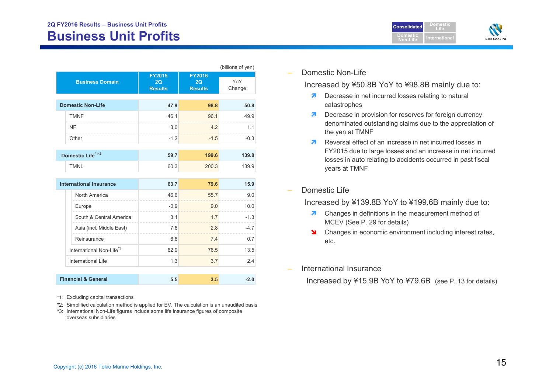| <b>Consolidated</b>          | Domestic             |                     |
|------------------------------|----------------------|---------------------|
| <b>Domestic</b><br>Non-Life: | <u>International</u> | <b>TOKIO MARINE</b> |

|                                      |                                       |                                                                     | (billions of yen) |
|--------------------------------------|---------------------------------------|---------------------------------------------------------------------|-------------------|
| <b>Business Domain</b>               | <b>FY2015</b><br>2Q<br><b>Results</b> | <b>FY2016</b><br>2Q<br><b>Results</b>                               | YoY<br>Change     |
| <b>Domestic Non-Life</b>             | 47.9                                  | 98.8                                                                | 50.8              |
| <b>TMNF</b>                          | 46.1                                  | 96.1                                                                | 49.9              |
| <b>NF</b>                            | 3.0                                   | 4.2                                                                 | 11                |
| Other                                | $-1.2$                                | $-1.5$                                                              | $-0.3$            |
| Domestic Life <sup>*1.2</sup>        | 59.7                                  | 199.6                                                               | 139.8             |
| <b>TMNL</b>                          | 60.3                                  | 200.3                                                               | 139.9             |
| <b>International Insurance</b>       | 63.7                                  | 79.6                                                                | 15.9              |
| North America                        | 46.6                                  | 55.7                                                                | 9.0               |
| Europe                               | $-0.9$                                | 9.0                                                                 | 10.0              |
| South & Central America              | 3.1                                   | 1.7<br>, a componentation and component of the component components | $-1.3$            |
| Asia (incl. Middle East)             | 7.6                                   | 2.8                                                                 | $-47$             |
| Reinsurance                          | 6.6                                   | 7.4                                                                 | 0.7               |
| International Non-Life <sup>*3</sup> | 62.9                                  | 76.5                                                                | 13.5              |
| International Life                   | 1.3                                   | 3.7                                                                 | 2.4               |
| <b>Financial &amp; General</b>       | 5.5                                   | 3.5                                                                 | $-2.0$            |

\*1: Excluding capital transactions

- \*2: Simplified calculation method is applied for EV. The calculation is an unaudited basis
- \*3: International Non-Life figures include some life insurance figures of composite overseas subsidiaries

Domestic Non-Life

Increased by ¥50.8B YoY to ¥98.8B mainly due to:

- **7** Decrease in net incurred losses relating to natural catastrophes
- **7** Decrease in provision for reserves for foreign currency denominated outstanding claims due to the appreciation of the yen at TMNF
- Reversal effect of an increase in net incurred losses in FY2015 due to large losses and an increase in net incurred losses in auto relating to accidents occurred in past fiscal years at TMNF
- Domestic Life

Increased by ¥139.8B YoY to ¥199.6B mainly due to:

- **7** Changes in definitions in the measurement method of MCEV (See P. 29 for details)
- Standing Changes in economic environment including interest rates, etc.
- International Insurance

Increased by ¥15.9B YoY to ¥79.6B (see P. 13 for details)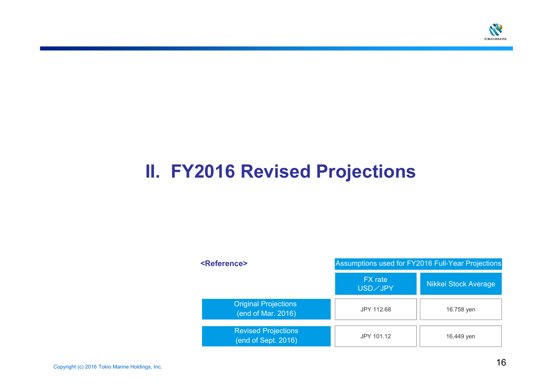

# **II. FY2016 Revised Projections**

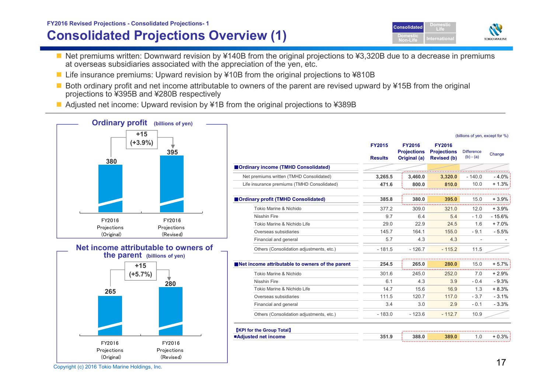## **Consolidated Projections Overview (1) FY2016 Revised Projections - Consolidated Projections- <sup>1</sup> Consolidated**

- Net premiums written: Downward revision by ¥140B from the original projections to ¥3,320B due to a decrease in premiums at overseas subsidiaries associated with the appreciation of the yen, etc.
- Life insurance premiums: Upward revision by ¥10B from the original projections to ¥810B
- Both ordinary profit and net income attributable to owners of the parent are revised upward by ¥15B from the original projections to ¥395B and ¥280B respectively
- Adjusted net income: Upward revision by ¥1B from the original projections to ¥389B







| $+15$                                                              |                                                 |                                 |                                                     |                                                           | (billions of yen, except for %)  |            |
|--------------------------------------------------------------------|-------------------------------------------------|---------------------------------|-----------------------------------------------------|-----------------------------------------------------------|----------------------------------|------------|
| $(+3.9\%)$<br>395<br>380                                           |                                                 | <b>FY2015</b><br><b>Results</b> | <b>FY2016</b><br><b>Projections</b><br>Original (a) | <b>FY2016</b><br><b>Projections</b><br><b>Revised (b)</b> | <b>Difference</b><br>$(b) - (a)$ | Change     |
|                                                                    | Ordinary income (TMHD Consolidated)             |                                 |                                                     |                                                           |                                  |            |
|                                                                    | Net premiums written (TMHD Consolidated)        | 3,265.5                         | 3,460.0                                             | 3,320.0                                                   | $-140.0$                         | $-4.0\%$   |
|                                                                    | Life insurance premiums (TMHD Consolidated)     | 471.6                           | 800.0                                               | 810.0                                                     | 10.0                             | $+1.3\%$ : |
|                                                                    |                                                 |                                 |                                                     |                                                           |                                  |            |
|                                                                    | Ordinary profit (TMHD Consolidated)             | 385.8                           | 380.0                                               | 395.0                                                     | 15.0                             | $+3.9\%$   |
|                                                                    | Tokio Marine & Nichido                          | 377.2                           | 309.0                                               | 321.0                                                     | 12.0                             | $+3.9%$    |
| 2016<br>FY2016                                                     | <b>Nisshin Fire</b>                             | 9.7                             | 6.4                                                 | 5.4                                                       | $-1.0$                           | $-15.6%$   |
| Projections<br>ections                                             | Tokio Marine & Nichido Life                     | 29.0                            | 22.9                                                | 24.5                                                      | 1.6                              | $+7.0%$    |
| (Revised)<br>riginal)                                              | Overseas subsidiaries                           | 145.7                           | 164.1                                               | 155.0                                                     | $-9.1$                           | $-5.5%$    |
|                                                                    | Financial and general                           | 5.7                             | 4.3                                                 | 4.3                                                       |                                  |            |
| me attributable to owners of<br><b>he parent</b> (billions of yen) | Others (Consolidation adjustments, etc.)        | $-181.5$                        | $-126.7$                                            | $-115.2$                                                  | 11.5                             |            |
| $+15$                                                              | Net income attributable to owners of the parent | 254.5                           | 265.0                                               | 280.0                                                     | 15.0                             | $+5.7\%$   |
| $(+5.7%)$                                                          | Tokio Marine & Nichido                          | 301.6                           | 245.0                                               | 252.0                                                     | 7.0                              | $+2.9%$    |
| 280                                                                | <b>Nisshin Fire</b>                             | 6.1                             | 4.3                                                 | 3.9                                                       | $-0.4$                           | $-9.3%$    |
| 265                                                                | Tokio Marine & Nichido Life                     | 14.7                            | 15.6                                                | 16.9                                                      | 1.3                              | $+8.3%$    |
|                                                                    | Overseas subsidiaries                           | 111.5                           | 120.7                                               | 117.0                                                     | $-3.7$                           | $-3.1%$    |
|                                                                    | Financial and general                           | 3.4                             | 3.0                                                 | 2.9                                                       | $-0.1$                           | $-3.3%$    |
|                                                                    | Others (Consolidation adjustments, etc.)        | $-183.0$                        | $-123.6$                                            | $-112.7$                                                  | 10.9                             |            |
|                                                                    | <b>KPI</b> for the Group Total]                 |                                 |                                                     |                                                           |                                  |            |
|                                                                    | ■Adjusted net income                            | 351.9                           | 388.0                                               | 389.0                                                     |                                  | + 0.3%     |
| 2016<br>FY2016                                                     |                                                 |                                 |                                                     |                                                           |                                  |            |

**DomesticNon-Life**

**DomesticLife**

**TOKIO MARINE**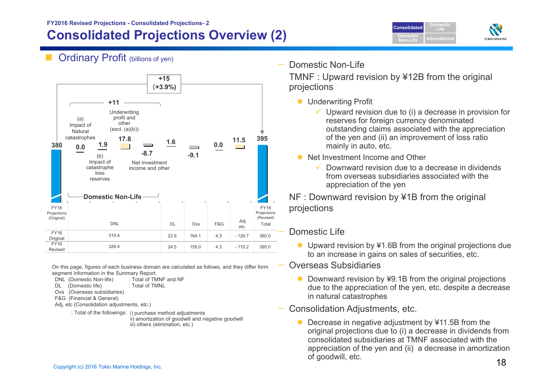## **Consolidated Projections Overview (2) FY2016 Revised Projections - Consolidated Projections- <sup>2</sup> Consolidated**



**Ordinary Profit (billions of yen)** 



On this page, figures of each business domain are calculated as follows, and they differ form segment information in the Summary Report.

DNL (Domestic Non-life) : Total of TMNF and NF

DL (Domestic life) : Total of TMNL

Ovs (Overseas subsidiaries)

F&G (Financial & General)

Adj, etc (Consolidation adjustments, etc.)

: Total of the followings: i) purchase method adjustments

ii) amortization of goodwill and negative goodwill iii) others (elimination, etc.)

Domestic Non-Life

TMNF : Upward revision by ¥12B from the original projections

- **Underwriting Profit** 
	- $\checkmark$  Upward revision due to (i) a decrease in provision for reserves for foreign currency denominated outstanding claims associated with the appreciation of the yen and (ii) an improvement of loss ratio mainly in auto, etc.
- Net Investment Income and Other
	- $\checkmark$  Downward revision due to a decrease in dividends from overseas subsidiaries associated with the appreciation of the yen

NF : Downward revision by ¥1B from the original projections

## Domestic Life

- Upward revision by ¥1.6B from the original projections due to an increase in gains on sales of securities, etc.
- Overseas Subsidiaries
	- $\bullet$  Downward revision by ¥9.1B from the original projections due to the appreciation of the yen, etc. despite a decrease in natural catastrophes

## — Consolidation Adjustments, etc.

 $\bullet$  Decrease in negative adjustment by ¥11.5B from the original projections due to (i) a decrease in dividends from consolidated subsidiaries at TMNF associated with the appreciation of the yen and (ii) a decrease in amortization of goodwill, etc.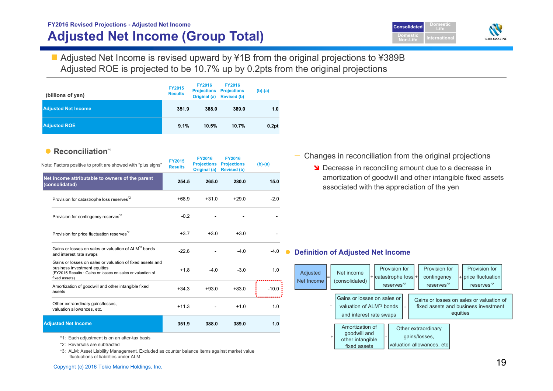$\frac{1}{2}$  Copyright (c) 2016 Tokio Marine Holdings, Inc. 1991 19. 1991 19. 1991 19. 1991 19. 1991 19. 1991 19. 1991 19. 1991 19. 1991 19. 1991 19. 1992 19. 1992 19. 1992 19. 1992 19. 1992 19. 1992 19. 1992 19. 1992 1993 1

# ■ Adjusted Net Income is revised upward by ¥1B from the original projections to ¥389B Adjusted ROE is projected to be 10.7% up by 0.2pts from the original projections **Adjusted Net Income (Group Total)**

**FY2015Results FY2016Projections Projections Original (a) Revised (b) FY2016(b)-(a) 351.9 388.0 389.0 1.0 Adjusted ROE 9.1% 10.5% 10.7% 0.2pt Adjusted Net Income (billions of yen)** 

**FY2016 Revised Projections - Adjusted Net Income** 

#### •**Reconciliation\*1**

| Note: Factors positive to profit are showed with "plus signs"                                                                                                           | <b>FY2015</b><br><b>Results</b> | <b>FY2016</b><br><b>Projections</b><br>Original (a) | <b>FY2016</b><br><b>Projections</b><br><b>Revised (b)</b> | $(b)-(a)$ |
|-------------------------------------------------------------------------------------------------------------------------------------------------------------------------|---------------------------------|-----------------------------------------------------|-----------------------------------------------------------|-----------|
| Net income attributable to owners of the parent<br>(consolidated)                                                                                                       | 254.5                           | 265.0                                               | 280.0                                                     | 15.0      |
| Provision for catastrophe loss reserves <sup>*2</sup>                                                                                                                   | $+68.9$                         | $+31.0$                                             | $+29.0$                                                   | $-2.0$    |
| Provision for contingency reserves <sup>2</sup>                                                                                                                         | $-0.2$                          |                                                     |                                                           |           |
| Provision for price fluctuation reserves <sup>72</sup>                                                                                                                  | $+3.7$                          | $+3.0$                                              | $+3.0$                                                    |           |
| Gains or losses on sales or valuation of ALM <sup>*3</sup> bonds<br>and interest rate swaps                                                                             | $-226$                          |                                                     | $-4.0$                                                    | $-4.0$    |
| Gains or losses on sales or valuation of fixed assets and<br>business investment equities<br>(FY2015 Results: Gains or losses on sales or valuation of<br>fixed assets) | $+1.8$                          | $-4.0$                                              | $-3.0$                                                    | 1.0       |
| Amortization of goodwill and other intangible fixed<br>assets                                                                                                           | $+34.3$                         | $+93.0$                                             | $+83.0$                                                   | $-10.0$   |
| Other extraordinary gains/losses,<br>valuation allowances, etc.                                                                                                         | $+11.3$                         |                                                     | $+1.0$                                                    | 1.0       |
| <b>Adjusted Net Income</b>                                                                                                                                              | 351.9                           | 388.0                                               | 389.0                                                     | 1.0       |

\*1: Each adjustment is on an after-tax basis

\*2: Reversals are subtracted

\*3: ALM: Asset Liability Management. Excluded as counter balance items against market value fluctuations of liabilities under ALM

— Changes in reconciliation from the original projections

**N** Decrease in reconciling amount due to a decrease in amortization of goodwill and other intangible fixed assets associated with the appreciation of the yen

#### $\bullet$ **Definition of Adjusted Net Income**



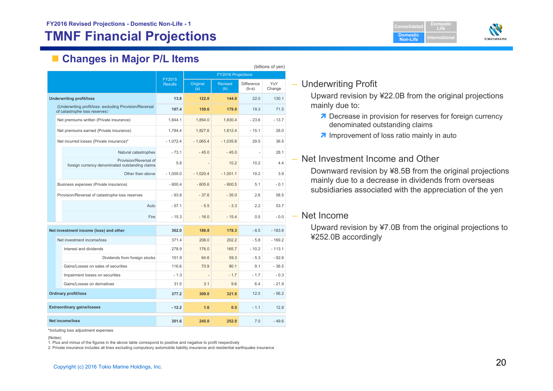# **TMNF Financial Projections**

**Domestic Non-LifeDomesticLifeIternationa** 



# **Changes in Major P/L Items**

|                                                                                          |                |                           |                       |                       | (billions of yen) |  |
|------------------------------------------------------------------------------------------|----------------|---------------------------|-----------------------|-----------------------|-------------------|--|
|                                                                                          | FY2015         | <b>FY2016 Projections</b> |                       |                       |                   |  |
|                                                                                          | <b>Results</b> | Original<br>(a)           | <b>Revised</b><br>(b) | Difference<br>$(b-a)$ | YoY<br>Change     |  |
| <b>Underwriting profit/loss</b>                                                          | 13.8           | 122.0                     | 144.0                 | 22.0                  | 130.1             |  |
| (Underwriting profit/loss: excluding Provision/Reversal<br>of catastrophe loss reserves) | 107.4          | 159.6                     | 179.0                 | 19.3                  | 71.5              |  |
| Net premiums written (Private insurance)                                                 | 1,844.1        | 1,854.0                   | 1,830.4               | $-23.6$               | $-13.7$           |  |
| Net premiums earned (Private insurance)                                                  | 1.784.4        | 1.827.6                   | 1.812.4               | $-15.1$               | 28.0              |  |
| Net incurred losses (Private insurance)*                                                 | $-1.072.4$     | $-1,065.4$                | $-1,035.8$            | 29.5                  | 36.5              |  |
| Natural catastrophes                                                                     | $-73.1$        | $-45.0$                   | $-45.0$               |                       | 28.1              |  |
| Provision/Reversal of<br>foreign currency denominated outstanding claims                 | 5.8            |                           | 10.2                  | 10.2                  | 4.4               |  |
| Other than above                                                                         | $-1,005.0$     | $-1,020.4$                | $-1.001.1$            | 19.2                  | 3.9               |  |
| Business expenses (Private insurance)                                                    | $-600.4$       | $-605.6$                  | $-600.5$              | 5.1                   | $-0.1$            |  |
| Provision/Reversal of catastrophe loss reserves                                          | $-93.6$        | $-37.6$                   | $-35.0$               | 2.6                   | 58.5              |  |
| Auto                                                                                     | $-57.1$        | $-5.5$                    | $-3.3$                | 2.2                   | 53.7              |  |
| Fire                                                                                     | $-15.3$        | $-16.0$                   | $-15.4$               | 0.5                   | $-0.0$            |  |
| Net investment income (loss) and other                                                   | 362.0          | 186.8                     | 178.3                 | $-8.5$                | $-183.6$          |  |
| Net investment income/loss                                                               | 371.4          | 208.0                     | 202.2                 | $-5.8$                | $-169.2$          |  |
| Interest and dividends                                                                   | 278.9          | 176.0                     | 165.7                 | $-10.2$               | $-113.1$          |  |
| Dividends from foreign stocks                                                            | 151.9          | 64.6                      | 59.3                  | $-5.3$                | $-92.6$           |  |
| Gains/Losses on sales of securities                                                      | 116.6          | 70.9                      | 80.1                  | 9.1                   | $-36.5$           |  |
| Impairment losses on securities                                                          | $-1.3$         |                           | $-1.7$                | $-1.7$                | $-0.3$            |  |
| Gains/Losses on derivatives                                                              | 31.5           | 3.1                       | 9.6                   | 6.4                   | $-21.9$           |  |
| <b>Ordinary profit/loss</b>                                                              | 377.2          | 309.0                     | 321.0                 | 12.0                  | $-56.2$           |  |
| <b>Extraordinary gains/losses</b>                                                        | $-12.2$        | 1.6                       | 0.5                   | $-1.1$                | 12.8              |  |
| <b>Net income/loss</b>                                                                   | 301.6          | 245.0                     | 252.0                 | 7.0                   | $-49.6$           |  |

\*Including loss adjustment expenses

1. Plus and minus of the figures in the above table correspond to positive and negative to profit respectively

2. Private insurance includes all lines excluding compulsory automobile liability insurance and residential earthquake insurance

## – Underwriting Profit

Upward revision by ¥22.0B from the original projections mainly due to:

- **7** Decrease in provision for reserves for foreign currency denominated outstanding claims
- *A* Improvement of loss ratio mainly in auto

## – Net Investment Income and Other

Downward revision by ¥8.5B from the original projections mainly due to a decrease in dividends from overseas subsidiaries associated with the appreciation of the yen

## – Net Income

Upward revision by ¥7.0B from the original projections to ¥252.0B accordingly

<sup>(</sup>Notes)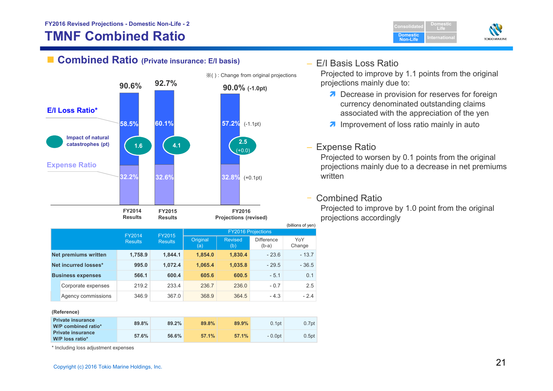# **TMNF Combined Ratio**





|                          |                          | FY2015         | <b>FY2016 Projections</b> |                       |                              |               |  |  |
|--------------------------|--------------------------|----------------|---------------------------|-----------------------|------------------------------|---------------|--|--|
|                          | FY2014<br><b>Results</b> | <b>Results</b> |                           | <b>Revised</b><br>(b) | <b>Difference</b><br>$(b-a)$ | YoY<br>Change |  |  |
| Net premiums written     | 1,758.9                  | 1,844.1        | 1,854.0                   | 1,830.4               | $-23.6$                      | $-13.7$       |  |  |
| Net incurred losses*     | 995.0                    | 1,072.4        | 1,065.4                   | 1,035.8               | $-29.5$                      | $-36.5$       |  |  |
| <b>Business expenses</b> | 566.1                    | 600.4          | 605.6                     | 600.5                 | $-5.1$                       | 0.1           |  |  |
| Corporate expenses       | 219.2                    | 233.4          | 236.7                     | 236.0                 | $-0.7$                       | 2.5           |  |  |
| Agency commissions       | 346.9                    | 367.0          | 368.9                     | 364.5                 | $-4.3$                       | $-2.4$        |  |  |
|                          |                          |                |                           |                       |                              |               |  |  |

**(Reference)**

| <b>Private insurance</b><br>W/P combined ratio* | 89.8% | 89.2% | 89.8% | 89.9% | 0.1 <sub>pt</sub> | 0.7pt             |
|-------------------------------------------------|-------|-------|-------|-------|-------------------|-------------------|
| <b>Private insurance</b><br>W/P loss ratio*     | 57.6% | 56.6% | 57.1% | 57.1% | - 0.0pt           | 0.5 <sub>pt</sub> |

\* Including loss adjustment expenses

## – E/I Basis Loss Ratio

Projected to improve by 1.1 points from the original projections mainly due to:

- **Decrease in provision for reserves for foreign** currency denominated outstanding claims associated with the appreciation of the yen
- **A** Improvement of loss ratio mainly in auto

## – Expense Ratio

Projected to worsen by 0.1 points from the original projections mainly due to a decrease in net premiums written

#### –Combined Ratio

Projected to improve by 1.0 point from the original projections accordingly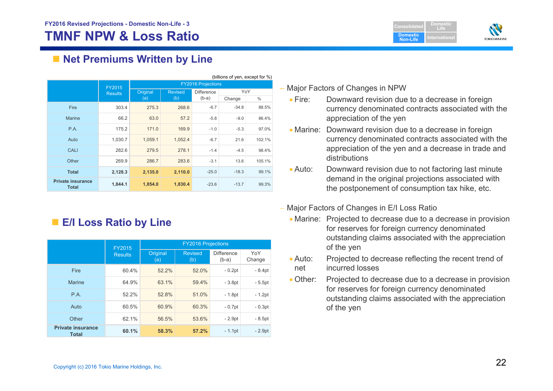**Domestic Non-LifeDomesticLifeI**ternationa



# ■ Net Premiums Written by Line

|                                          |                |                           |                |                   | (billions of yen, except for %) |               |  |
|------------------------------------------|----------------|---------------------------|----------------|-------------------|---------------------------------|---------------|--|
|                                          | FY2015         | <b>FY2016 Projections</b> |                |                   |                                 |               |  |
|                                          | <b>Results</b> | Original                  | <b>Revised</b> | <b>Difference</b> | YoY                             |               |  |
|                                          |                | (a)                       | (b)            | $(b-a)$           | Change                          | $\frac{0}{0}$ |  |
| Fire                                     | 303.4          | 275.3                     | 268.6          | $-6.7$            | $-34.8$                         | 88.5%         |  |
| <b>Marine</b>                            | 66.2           | 63.0                      | 57.2           | $-5.8$            | $-9.0$                          | 86.4%         |  |
| P.A.                                     | 175.2          | 171.0                     | 169.9          | $-1.0$            | $-5.3$                          | 97.0%         |  |
| Auto                                     | 1,030.7        | 1,059.1                   | 1,052.4        | $-6.7$            | 21.6                            | 102.1%        |  |
| CALI                                     | 282.6          | 279.5                     | 278.1          | $-1.4$            | $-4.5$                          | 98.4%         |  |
| Other                                    | 269.9          | 286.7                     | 283.6          | $-3.1$            | 13.6                            | 105.1%        |  |
| <b>Total</b>                             | 2,128.3        | 2,135.0                   | 2,110.0        | $-25.0$           | $-18.3$                         | 99.1%         |  |
| <b>Private insurance</b><br><b>Total</b> | 1,844.1        | 1,854.0                   | 1,830.4        | $-23.6$           | $-13.7$                         | 99.3%         |  |

# **E/I Loss Ratio by Line**

|                                          | FY2015         | <b>FY2016 Projections</b> |                       |                              |               |  |  |  |
|------------------------------------------|----------------|---------------------------|-----------------------|------------------------------|---------------|--|--|--|
|                                          | <b>Results</b> | Original<br>(a)           | <b>Revised</b><br>(b) | <b>Difference</b><br>$(b-a)$ | YoY<br>Change |  |  |  |
| <b>Fire</b>                              | 60.4%          | 52.2%                     | 52.0%                 | $-0.2pt$                     | $-8.4pt$      |  |  |  |
| Marine                                   | 64.9%          | 63.1%                     | 59.4%                 | $-3.8pt$                     | $-5.5pt$      |  |  |  |
| P.A.                                     | 52.2%          | 52.8%                     | 51.0%                 | $-1.8pt$                     | $-1.2pt$      |  |  |  |
| Auto                                     | 60.5%          | 60.9%                     | 60.3%                 | $-0.7pt$                     | $-0.3pt$      |  |  |  |
| Other                                    | 62.1%          | 56.5%                     | 53.6%                 | $-2.9pt$                     | $-8.5pt$      |  |  |  |
| <b>Private insurance</b><br><b>Total</b> | 60.1%          | 58.3%                     | 57.2%                 | $-1.1$ pt                    | $-2.9pt$      |  |  |  |

## – Major Factors of Changes in NPW

- $\bullet$  Fire: Downward revision due to a decrease in foreign currency denominated contracts associated with the appreciation of the yen
- Marine: Downward revision due to a decrease in foreign currency denominated contracts associated with the appreciation of the yen and a decrease in trade and distributions
- $\bullet$  Auto: Downward revision due to not factoring last minute demand in the original projections associated with the postponement of consumption tax hike, etc.
- Major Factors of Changes in E/I Loss Ratio
	- Marine: Projected to decrease due to a decrease in provision for reserves for foreign currency denominated outstanding claims associated with the appreciation of the yen
	- $\bullet$  Auto: Projected to decrease reflecting the recent trend of net incurred losses
	- Other: Projected to decrease due to a decrease in provision for reserves for foreign currency denominated outstanding claims associated with the appreciation of the yen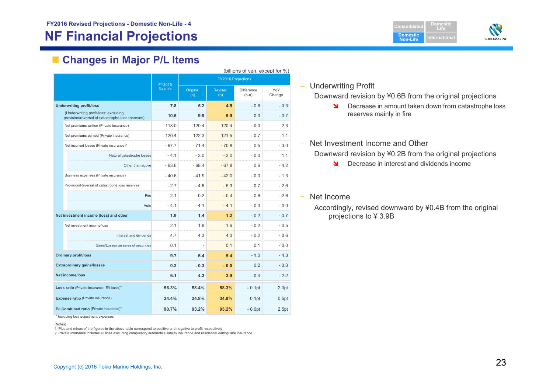# **NF Financial Projections**

**Domestic Non-LifeDomesticLifeIternationa** 



# **Changes in Major P/L Items**

|                                                                                          |                          |                 |                       | (billions of yen, except for %) |               |
|------------------------------------------------------------------------------------------|--------------------------|-----------------|-----------------------|---------------------------------|---------------|
|                                                                                          |                          |                 |                       | <b>FY2016 Projections</b>       |               |
|                                                                                          | FY2015<br><b>Results</b> | Original<br>(a) | <b>Revised</b><br>(b) | <b>Difference</b><br>$(b-a)$    | YoY<br>Change |
| <b>Underwriting profit/loss</b>                                                          | 7.8                      | 5.2             | 4.5                   | $-0.6$                          | $-3.3$        |
| (Underwriting profit/loss: excluding<br>provision/reversal of catastrophe loss reserves) | 10.6                     | 9.9             | 9.9                   | 0.0                             | $-0.7$        |
| Net premiums written (Private insurance)                                                 | 118.0                    | 120.4           | 120.4                 | $-0.0$                          | 2.3           |
| Net premiums earned (Private insurance)                                                  | 120.4                    | 122.3           | 121.5                 | $-0.7$                          | 1.1           |
| Net incurred losses (Private insurance)*                                                 | $-67.7$                  | $-71.4$         | $-70.8$               | 0.5                             | $-3.0$        |
| Natural catastrophe losses                                                               | $-4.1$                   | $-3.0$          | $-3.0$                | $-0.0$                          | 1.1           |
| Other than above                                                                         | $-63.6$                  | $-68.4$         | $-67.8$               | 0.6                             | $-4.2$        |
| Business expenses (Private insurance)                                                    | $-40.6$                  | $-41.9$         | $-42.0$               | $-0.0$                          | $-1.3$        |
| Provision/Reversal of catastrophe loss reserves                                          | $-2.7$                   | $-4.6$          | $-5.3$                | $-0.7$                          | $-2.6$        |
| Fire                                                                                     | 2.1                      | 0.2             | $-0.4$                | $-0.6$                          | $-2.6$        |
| Auto                                                                                     | $-4.1$                   | $-4.1$          | $-41$                 | $-0.0$                          | $-0.0$        |
| Net investment income (loss) and other                                                   | 1.9                      | 1.4             | 1.2                   | $-0.2$                          | $-0.7$        |
| Net investment income/loss                                                               | 2.1                      | 1.9             | 1.6                   | $-0.2$                          | $-0.5$        |
| Interest and dividends                                                                   | 4.7                      | 4.3             | 4.0                   | $-0.2$                          | $-0.6$        |
| Gains/Losses on sales of securities                                                      | 0.1                      |                 | 0.1                   | 0.1                             | $-0.0$        |
| <b>Ordinary profit/loss</b>                                                              | 9.7                      | 6.4             | 5.4                   | $-1.0$                          | $-4.3$        |
| <b>Extraordinary gains/losses</b>                                                        | 0.2                      | $-0.3$          | $-0.0$                | 0.2                             | $-0.3$        |
| <b>Net income/loss</b>                                                                   | 6.1                      | 4.3             | 3.9                   | $-0.4$                          | $-2.2$        |
| Loss ratio (Private insurance, E/I basis)*                                               | 56.3%                    | 58.4%           | 58.3%                 | $-0.1$ pt                       | 2.0pt         |
| <b>Expense ratio (Private insurance)</b>                                                 | 34.4%                    | 34.8%           | 34.9%                 | 0.1 <sub>pt</sub>               | 0.5pt         |
| E/I Combined ratio (Private insurance)*                                                  | 90.7%                    | 93.2%           | 93.2%                 | $-0.0pt$                        | 2.5pt         |

#### \* Including loss adjustment expenses

(Notes)

1. Plus and minus of the figures in the above table correspond to positive and negative to profit respectively

2. Private insurance includes all lines excluding compulsory automobile liability insurance and residential earthquake insurance

## – Underwriting Profit

Downward revision by ¥0.6B from the original projections

- $\blacksquare$  Decrease in amount taken down from catastrophe loss reserves mainly in fire
- ‒Net Investment Income and Other

Downward revision by ¥0.2B from the original projections

 $\blacktriangle$ Decrease in interest and dividends income

Net Income

Accordingly, revised downward by ¥0.4B from the original projections to ¥ 3.9B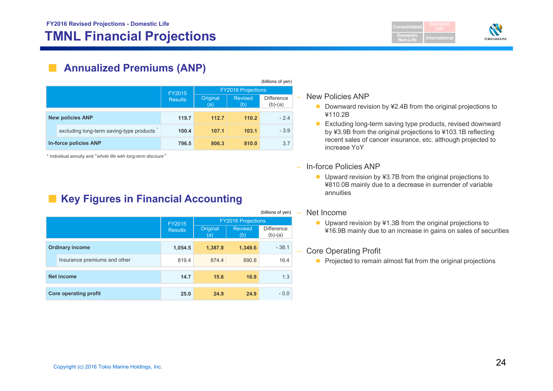# **TMNL Financial Projections International International**

**Consolidated Domestic Non-LifeLife**



# **Annualized Premiums (ANP)**

|  |                                          |                |                           |                       | (billions of yen)              |  |
|--|------------------------------------------|----------------|---------------------------|-----------------------|--------------------------------|--|
|  |                                          | FY2015         | <b>FY2016 Projections</b> |                       |                                |  |
|  |                                          | <b>Results</b> | Original<br>(a)           | <b>Revised</b><br>(b) | <b>Difference</b><br>$(b)-(a)$ |  |
|  | <b>New policies ANP</b>                  | 119.7          | 112.7                     | 110.2                 | $-2.4$                         |  |
|  | excluding long-term saving-type products | 100.4          | 107.1                     | 103.1                 | $-3.9$                         |  |
|  | In-force policies ANP                    | 796.5          | 806.3                     | 810.0                 | 3.7                            |  |

\* Individual annuity and "*whole life with long-term discount* "

# **Key Figures in Financial Accounting**

|                              |                |                           |                       | (billions of yen)              |  |
|------------------------------|----------------|---------------------------|-----------------------|--------------------------------|--|
|                              | <b>FY2015</b>  | <b>FY2016 Projections</b> |                       |                                |  |
|                              | <b>Results</b> | Original<br>(a)           | <b>Revised</b><br>(b) | <b>Difference</b><br>$(b)-(a)$ |  |
| <b>Ordinary income</b>       | 1,054.5        | 1,387.8                   | 1,349.6               | $-38.1$                        |  |
| Insurance premiums and other | 819.4          | 874.4                     | 890.8                 | 16.4                           |  |
| <b>Net income</b>            | 14.7           | 15.6                      | 16.9                  | 1.3                            |  |
| <b>Core operating profit</b> | 25.0           | 24.9                      | 24.9                  | $-0.0$                         |  |

### – New Policies ANP

- Downward revision by ¥2.4B from the original projections to ¥110.2B
- $\bullet$  Excluding long-term saving type products, revised downward by ¥3.9B from the original projections to ¥103.1B reflecting recent sales of cancer insurance, etc. although projected to increase YoY
- In-force Policies ANP
	- Upward revision by ¥3.7B from the original projections to ¥810.0B mainly due to a decrease in surrender of variable annuities

### – Net Income

● Upward revision by ¥1.3B from the original projections to ¥16.9B mainly due to an increase in gains on sales of securities

## – Core Operating Profit

• Projected to remain almost flat from the original projections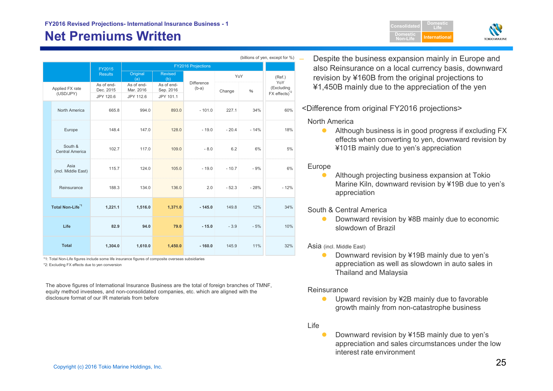# **Net Premiums Written**

|  |                              |                         |                         |                           |                              |         |        | (billions of yen, except for %)                              |  |  |
|--|------------------------------|-------------------------|-------------------------|---------------------------|------------------------------|---------|--------|--------------------------------------------------------------|--|--|
|  |                              | FY2015                  |                         | <b>FY2016 Projections</b> |                              |         |        |                                                              |  |  |
|  |                              | <b>Results</b>          | Original<br>(a)         | <b>Revised</b><br>(b)     |                              | YoY     |        | (Ref.)                                                       |  |  |
|  | Applied FX rate<br>(USD/JPY) | As of end-<br>Dec. 2015 | As of end-<br>Mar. 2016 | As of end-<br>Sep. 2016   | <b>Difference</b><br>$(b-a)$ | Change  | $\%$   | YoY<br>(Excluding<br>$FX$ effects) <sup><math>2</math></sup> |  |  |
|  |                              | JPY 120.6               | JPY 112.6               | JPY 101.1                 |                              |         |        |                                                              |  |  |
|  | North America                | 665.8                   | 994.0                   | 893.0                     | $-101.0$                     | 227.1   | 34%    | 60%                                                          |  |  |
|  | Europe                       | 148.4                   | 147.0                   | 128.0                     | $-19.0$                      | $-20.4$ | $-14%$ | 18%                                                          |  |  |
|  | South &<br>Central America   | 102.7                   | 117.0                   | 109.0                     | $-8.0$                       | 6.2     | 6%     | 5%                                                           |  |  |
|  | Asia<br>(incl. Middle East)  | 115.7                   | 124.0                   | 105.0                     | $-19.0$                      | $-10.7$ | $-9%$  | 6%                                                           |  |  |
|  | Reinsurance                  | 188.3                   | 134.0                   | 136.0                     | 2.0                          | $-52.3$ | $-28%$ | $-12%$                                                       |  |  |
|  | Total Non-Life <sup>*1</sup> | 1,221.1                 | 1,516.0                 | 1,371.0                   | $-145.0$                     | 149.8   | 12%    | 34%                                                          |  |  |
|  | Life                         | 82.9                    | 94.0                    | 79.0                      | $-15.0$                      | $-3.9$  | $-5%$  | 10%                                                          |  |  |
|  | <b>Total</b>                 | 1,304.0                 | 1,610.0                 | 1,450.0                   | $-160.0$                     | 145.9   | 11%    | 32%                                                          |  |  |

\*2: Excluding FX effects due to yen conversion \*1: Total Non-Life figures include some life insurance figures of composite overseas subsidiaries

The above figures of International Insurance Business are the total of foreign branches of TMNF, equity method investees, and non-consolidated companies, etc. which are aligned with the disclosure format of our IR materials from before

 Despite the business expansion mainly in Europe and also Reinsurance on a local currency basis, downward revision by ¥160B from the original projections to ¥1,450B mainly due to the appreciation of the yen

**DomesticNon-Life**

<Difference from original FY2016 projections>

## North America

• Although business is in good progress if excluding FX effects when converting to yen, downward revision by ¥101B mainly due to yen's appreciation

## Europe

 $\bullet$  Although projecting business expansion at Tokio Marine Kiln, downward revision by ¥19B due to yen's appreciation

## South & Central America

 $\bullet$  Downward revision by ¥8B mainly due to economic slowdown of Brazil

### Asia (incl. Middle East)

 $\bullet$  Downward revision by ¥19B mainly due to yen's appreciation as well as slowdown in auto sales in Thailand and Malaysia

### **Reinsurance**

 $\bullet$  Upward revision by ¥2B mainly due to favorable growth mainly from non-catastrophe business

### Life

 $\bullet$  Downward revision by ¥15B mainly due to yen's appreciation and sales circumstances under the low interest rate environment

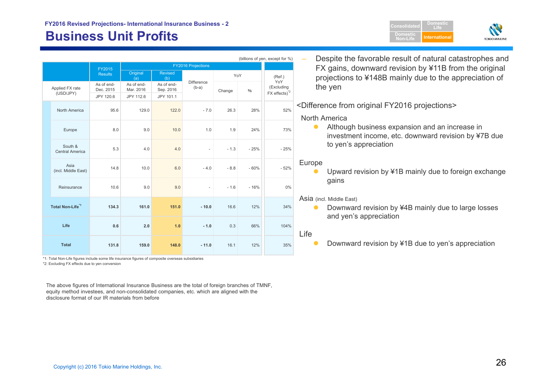# **Business Unit Profits All and Security Computer Security Computer Computer International**





|                                   |                         |                         |                           |                       |        |        | (billions of yen, except for %)        | Despite the favorable result of natural catastrophes and                                                            |
|-----------------------------------|-------------------------|-------------------------|---------------------------|-----------------------|--------|--------|----------------------------------------|---------------------------------------------------------------------------------------------------------------------|
|                                   | FY2015                  |                         | <b>FY2016 Projections</b> |                       |        |        |                                        | FX gains, downward revision by ¥11B from the original                                                               |
|                                   | <b>Results</b>          | Original<br>(a)         | Revised<br>(b)            |                       | YoY    |        | (Ref.)<br>YoY                          | projections to ¥148B mainly due to the appreciation of                                                              |
| Applied FX rate                   | As of end-<br>Dec. 2015 | As of end-<br>Mar. 2016 | As of end-<br>Sep. 2016   | Difference<br>$(b-a)$ | Change | $\%$   | (Excluding<br>FX effects) <sup>2</sup> | the yen                                                                                                             |
| (USD/JPY)                         | JPY 120.6               | JPY 112.6               | JPY 101.1                 |                       |        |        |                                        |                                                                                                                     |
| North America                     | 95.6                    | 129.0                   | 122.0                     | $-7.0$                | 26.3   | 28%    | 52%                                    | <difference from="" fy2016="" original="" projections=""><br/><b>North America</b></difference>                     |
| Europe                            | 8.0                     | 9.0                     | 10.0                      | 1.0                   | 1.9    | 24%    | 73%                                    | Although business expansion and an increase in<br>$\bullet$<br>investment income, etc. downward revision by ¥7B due |
| South &<br><b>Central America</b> | 5.3                     | 4.0                     | 4.0                       |                       | $-1.3$ | $-25%$ | $-25%$                                 | to yen's appreciation                                                                                               |
| Asia<br>(incl. Middle East)       | 14.8                    | 10.0                    | 6.0                       | $-4.0$                | $-8.8$ | $-60%$ | $-52%$                                 | Europe<br>Upward revision by ¥1B mainly due to foreign exchange<br>●                                                |
| Reinsurance                       | 10.6                    | 9.0                     | 9.0                       |                       | $-1.6$ | $-16%$ | 0%                                     | gains                                                                                                               |
| Total Non-Life <sup>*1</sup>      | 134.3                   | 161.0                   | 151.0                     | $-10.0$               | 16.6   | 12%    | 34%                                    | Asia (incl. Middle East)<br>Downward revision by ¥4B mainly due to large losses<br>and yen's appreciation           |
| Life                              | 0.6                     | 2.0                     | 1.0                       | $-1.0$                | 0.3    | 66%    | 104%                                   | Life                                                                                                                |
| <b>Total</b>                      | 131.8                   | 159.0                   | 148.0                     | $-11.0$               | 16.1   | 12%    | 35%                                    | Downward revision by ¥1B due to yen's appreciation                                                                  |

\*2: Excluding FX effects due to yen conversion \*1: Total Non-Life figures include some life insurance figures of composite overseas subsidiaries

The above figures of International Insurance Business are the total of foreign branches of TMNF, equity method investees, and non-consolidated companies, etc. which are aligned with the disclosure format of our IR materials from before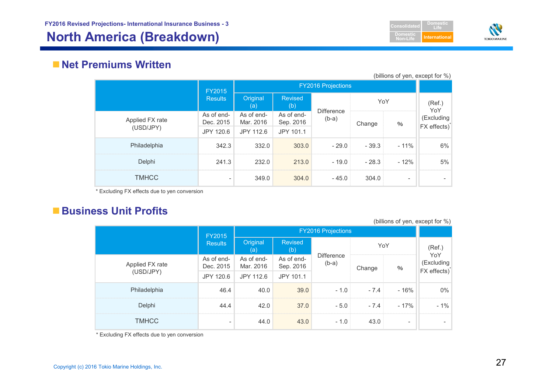# **North America (Breakdown) International**





## **Net Premiums Written**

|                              |                                      |                                      |                                      |                              |         |                          | (billions of yen, except for %) |
|------------------------------|--------------------------------------|--------------------------------------|--------------------------------------|------------------------------|---------|--------------------------|---------------------------------|
|                              | FY2015                               | <b>FY2016 Projections</b>            |                                      |                              |         |                          |                                 |
|                              | <b>Results</b>                       | Original<br>(a)                      | <b>Revised</b><br>(b)                |                              | YoY     |                          | (Ref.)<br>YoY                   |
| Applied FX rate<br>(USD/JPY) | As of end-<br>Dec. 2015<br>JPY 120.6 | As of end-<br>Mar. 2016<br>JPY 112.6 | As of end-<br>Sep. 2016<br>JPY 101.1 | <b>Difference</b><br>$(b-a)$ | Change  | $\%$                     | (Excluding<br>FX effects)       |
| Philadelphia                 | 342.3                                | 332.0                                | 303.0                                | $-29.0$                      | $-39.3$ | $-11%$                   | 6%                              |
| Delphi                       | 241.3                                | 232.0                                | 213.0                                | $-19.0$                      | $-28.3$ | $-12%$                   | 5%                              |
| <b>TMHCC</b>                 | $\overline{\phantom{0}}$             | 349.0                                | 304.0                                | $-45.0$                      | 304.0   | $\overline{\phantom{0}}$ |                                 |

\* Excluding FX effects due to yen conversion

# **Business Unit Profits**

|                 | <b>FY2015</b>           |                         |                         | <b>FY2016 Projections</b>    |        |                          | $\sim$ |                                               |
|-----------------|-------------------------|-------------------------|-------------------------|------------------------------|--------|--------------------------|--------|-----------------------------------------------|
|                 | <b>Results</b>          | Original<br>(a)         | <b>Revised</b><br>(b)   |                              | YoY    |                          | (Ref.) |                                               |
| Applied FX rate | As of end-<br>Dec. 2015 | As of end-<br>Mar. 2016 | As of end-<br>Sep. 2016 | <b>Difference</b><br>$(b-a)$ |        | Change                   | $\%$   | YoY<br>(Excluding<br>FX effects) <sup>*</sup> |
| (USD/JPY)       | JPY 120.6               | JPY 112.6               | JPY 101.1               |                              |        |                          |        |                                               |
| Philadelphia    | 46.4                    | 40.0                    | 39.0                    | $-1.0$                       | $-7.4$ | $-16%$                   | $0\%$  |                                               |
| Delphi          | 44.4                    | 42.0                    | 37.0                    | $-5.0$                       | $-7.4$ | $-17%$                   | $-1%$  |                                               |
| <b>TMHCC</b>    | $\blacksquare$          | 44.0                    | 43.0                    | $-1.0$                       | 43.0   | $\overline{\phantom{a}}$ |        |                                               |

(billions of yen, except for %)

\* Excluding FX effects due to yen conversion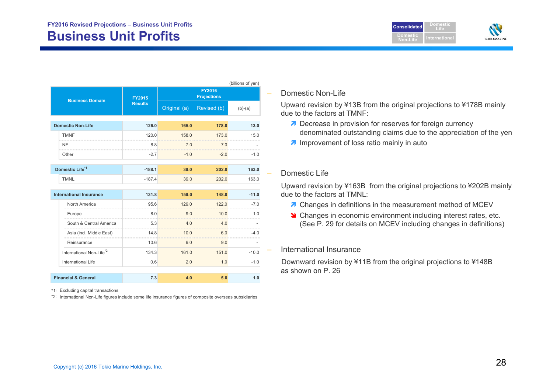

|                                      |                |                      |                                     | (billions of yen) |  |
|--------------------------------------|----------------|----------------------|-------------------------------------|-------------------|--|
| <b>Business Domain</b>               | FY2015         |                      | <b>FY2016</b><br><b>Projections</b> |                   |  |
|                                      | <b>Results</b> | Original (a)         | Revised (b)                         | $(b)-(a)$         |  |
| <b>Domestic Non-Life</b>             | 126.0          | 165.0                | 178.0                               | 13.0              |  |
| <b>TMNF</b>                          | 120.0          | 158.0                | 173.0                               | 15.0              |  |
| NF                                   | 8.8            | 7.0                  | 7.0                                 |                   |  |
| Other                                | $-2.7$         | $-1.0$               | $-2.0$                              | $-1.0$            |  |
| Domestic Life <sup>*1</sup>          | $-188.1$       | 39.0                 | 202.0                               | 163.0             |  |
| <b>TMNL</b>                          | $-187.4$       | 39.0                 | 202.0                               | 163.0             |  |
| <b>International Insurance</b>       | 131.8          | 159.0                | 148.0                               | $-11.0$           |  |
| North America                        | 95.6           | 129.0                | 122.0                               | $-7.0$            |  |
| Europe                               | 8.0            | 9.0                  | 10.0                                | 1.0               |  |
| South & Central America              | 5.3            | 4.0<br>manananananan | 4.0                                 |                   |  |
| Asia (incl. Middle East)             | 14.8           | 10 O                 | 6.0                                 | -4 0              |  |
| Reinsurance                          | 10.6           | 9.0                  | 9.0                                 |                   |  |
| International Non-Life <sup>*2</sup> | 134.3          | 161.0                | 151.0                               | $-10.0$           |  |
| <b>International Life</b>            | 0.6            | 2.0                  | 1.0                                 | $-1.0$            |  |
|                                      |                |                      |                                     |                   |  |
| <b>Financial &amp; General</b>       | 7.3            | 4.0                  | 5.0                                 | 1.0               |  |

\*1: Excluding capital transactions

\*2: International Non-Life figures include some life insurance figures of composite overseas subsidiaries

## Domestic Non-Life

Upward revision by ¥13B from the original projections to ¥178B mainly due to the factors at TMNF:

- **7** Decrease in provision for reserves for foreign currency denominated outstanding claims due to the appreciation of the yen
- **A** Improvement of loss ratio mainly in auto

## Domestic Life

Upward revision by ¥163B from the original projections to ¥202B mainly due to the factors at TMNL:

- **7** Changes in definitions in the measurement method of MCEV
- **S** Changes in economic environment including interest rates, etc. (See P. 29 for details on MCEV including changes in definitions)

## International Insurance

Downward revision by ¥11B from the original projections to ¥148B as shown on P. 26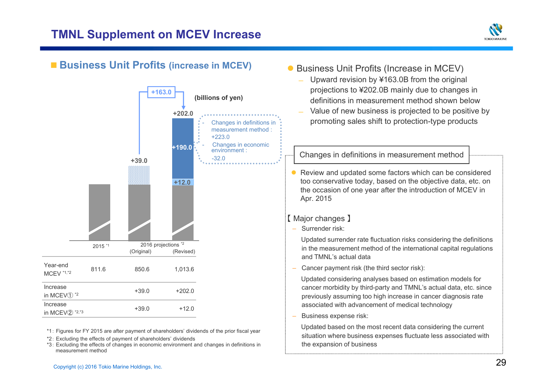

# ■ Business Unit Profits (increase in MCEV)



\*1: Figures for FY 2015 are after payment of shareholders' dividends of the prior fiscal year

- \*2: Excluding the effects of payment of shareholders' dividends
- \*3: Excluding the effects of changes in economic environment and changes in definitions in measurement method
- Business Unit Profits (Increase in MCEV)
	- $\overline{\phantom{0}}$  Upward revision by ¥163.0B from the original projections to ¥202.0B mainly due to changes in definitions in measurement method shown below
	- Value of new business is projected to be positive by promoting sales shift to protection-type products

## Changes in definitions in measurement method

 $\bullet$  Review and updated some factors which can be considered too conservative today, based on the objective data, etc. on the occasion of one year after the introduction of MCEV in Apr. 2015

## 【 Major changes 】

‒ Surrender risk:

Updated surrender rate fluctuation risks considering the definitions in the measurement method of the international capital regulations and TMNL's actual data

Cancer payment risk (the third sector risk):

Updated considering analyses based on estimation models for cancer morbidity by third-party and TMNL's actual data, etc. since previously assuming too high increase in cancer diagnosis rate associated with advancement of medical technology

Business expense risk:

Updated based on the most recent data considering the current situation where business expenses fluctuate less associated with the expansion of business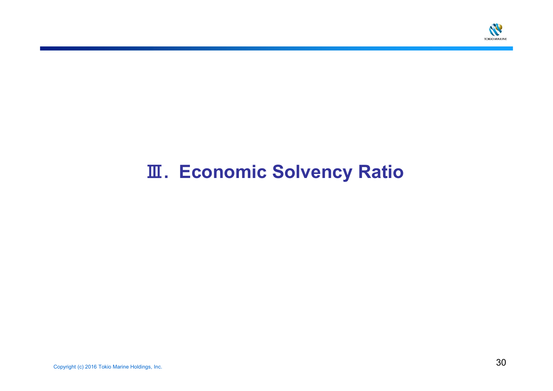

# Ⅲ**. Economic Solvency Ratio**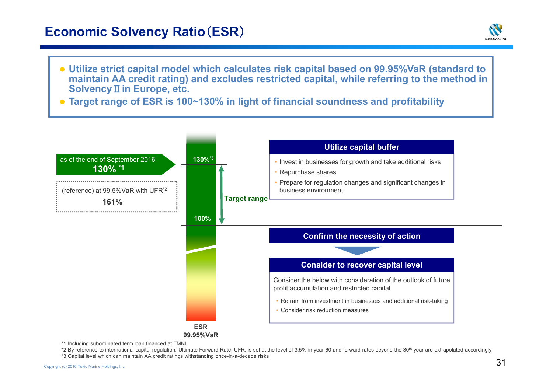# **Economic Solvency Ratio**(**ESR**)



- **Utilize strict capital model which calculates risk capital based on 99.95%VaR (standard to maintain AA credit rating) and excludes restricted capital, while referring to the method in Solvency**Ⅱ**in Europe, etc.**
- **Target range of ESR is 100~130% in light of financial soundness and profitability**



\*1 Including subordinated term loan financed at TMNL

\*2 By reference to international capital regulation, Ultimate Forward Rate, UFR, is set at the level of 3.5% in year 60 and forward rates beyond the 30<sup>th</sup> year are extrapolated accordingly

\*3 Capital level which can maintain AA credit ratings withstanding once-in-a-decade risks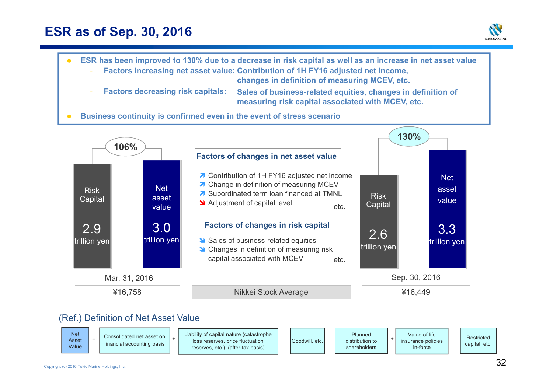# **ESR as of Sep. 30, 2016**







Goodwill, etc.

loss reserves, price fluctuation reserves, etc.) (after-tax basis) +

distribution to shareholders

financial accounting basis

Asset Value

capital, etc.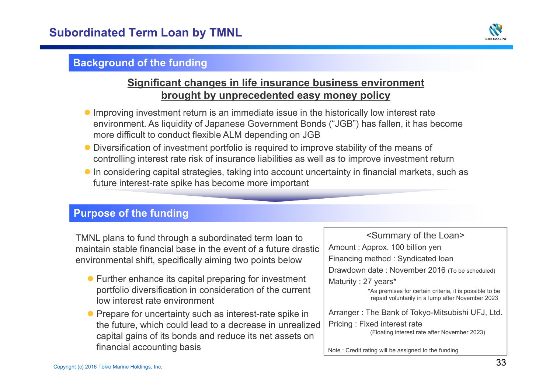

# **Background of the funding**

# **Significant changes in life insurance business environment brought by unprecedented easy money policy**

- **Improving investment return is an immediate issue in the historically low interest rate** environment. As liquidity of Japanese Government Bonds ("JGB") has fallen, it has become more difficult to conduct flexible ALM depending on JGB
- Diversification of investment portfolio is required to improve stability of the means of controlling interest rate risk of insurance liabilities as well as to improve investment return
- In considering capital strategies, taking into account uncertainty in financial markets, such as future interest-rate spike has become more important

# **Purpose of the funding**

TMNL plans to fund through a subordinated term loan to maintain stable financial base in the event of a future drasticenvironmental shift, specifically aiming two points below

- Further enhance its capital preparing for investment portfolio diversification in consideration of the current low interest rate environment
- Prepare for uncertainty such as interest-rate spike in the future, which could lead to a decrease in unrealized capital gains of its bonds and reduce its net assets on financial accounting basis

<Summary of the Loan> Amount : Approx. 100 billion yen Financing method : Syndicated loan Drawdown date : November 2016 (To be scheduled) Maturity : 27 years\* Arranger : The Bank of Tokyo-Mitsubishi UFJ, Ltd. Pricing : Fixed interest rate (Floating interest rate after November 2023) \*As premises for certain criteria, it is possible to be repaid voluntarily in a lump after November 2023

Note : Credit rating will be assigned to the funding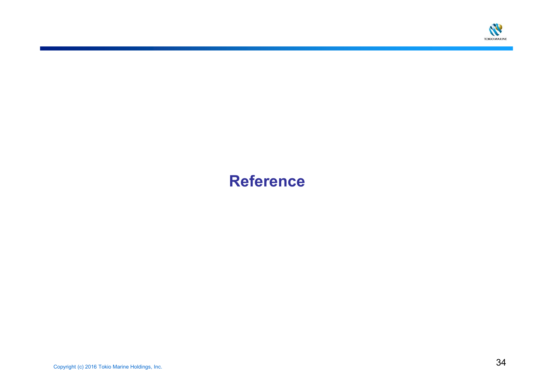

# **Reference**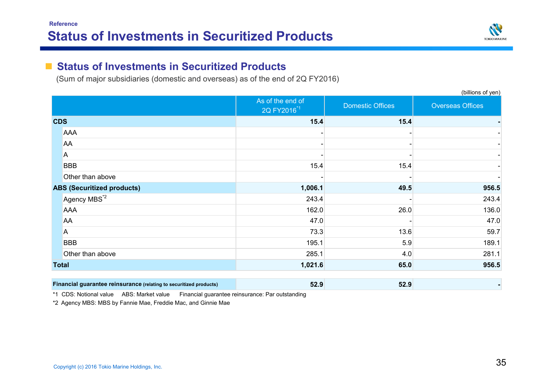

(billions of yen)

#### **The Second Second Status of Investments in Securitized Products**

(Sum of major subsidiaries (domestic and overseas) as of the end of 2Q FY2016)

|                                                                    | As of the end of<br>2Q FY2016 <sup>*1</sup> | <b>Domestic Offices</b> | <b>Overseas Offices</b> |
|--------------------------------------------------------------------|---------------------------------------------|-------------------------|-------------------------|
| <b>CDS</b>                                                         | 15.4                                        | $15.4$                  |                         |
| <b>AAA</b>                                                         |                                             |                         |                         |
| AA                                                                 |                                             |                         |                         |
| Α                                                                  |                                             |                         |                         |
| <b>BBB</b>                                                         | 15.4                                        | 15.4                    |                         |
| Other than above                                                   |                                             |                         |                         |
| <b>ABS (Securitized products)</b>                                  | 1,006.1                                     | 49.5                    | 956.5                   |
| Agency MBS <sup>*2</sup>                                           | 243.4                                       |                         | 243.4                   |
| <b>AAA</b>                                                         | 162.0                                       | 26.0                    | 136.0                   |
| AA                                                                 | 47.0                                        |                         | 47.0                    |
| A                                                                  | 73.3                                        | 13.6                    | 59.7                    |
| <b>BBB</b>                                                         | 195.1                                       | 5.9                     | 189.1                   |
| Other than above                                                   | 285.1                                       | 4.0                     | 281.1                   |
| <b>Total</b>                                                       | 1,021.6                                     | 65.0                    | 956.5                   |
| Financial guarantee reinsurance (relating to securitized products) | 52.9                                        | 52.9                    |                         |

\*1 CDS: Notional value ABS: Market value Financial guarantee reinsurance: Par outstanding

\*2 Agency MBS: MBS by Fannie Mae, Freddie Mac, and Ginnie Mae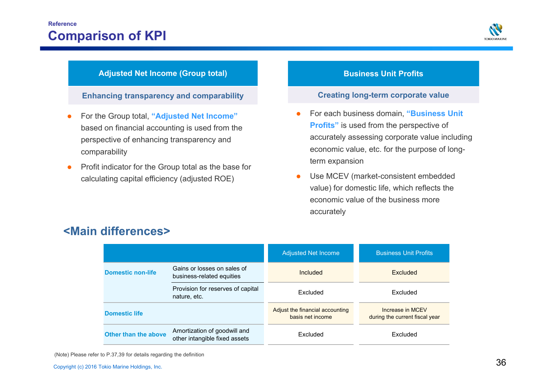

## **Adjusted Net Income (Group total)**

**Enhancing transparency and comparability**

- $\bullet$  For the Group total, **"Adjusted Net Income"**  based on financial accounting is used from the perspective of enhancing transparency and comparability
- $\bullet$  Profit indicator for the Group total as the base for calculating capital efficiency (adjusted ROE)

## **Business Unit Profits**

## **Creating long-term corporate value**

- O For each business domain, **"Business Unit Profits"** is used from the perspective of accurately assessing corporate value including economic value, etc. for the purpose of longterm expansion
- $\bullet$  Use MCEV (market-consistent embedded value) for domestic life, which reflects the economic value of the business more accurately

|                          |                                                               | <b>Adjusted Net Income</b>                          | <b>Business Unit Profits</b>                       |
|--------------------------|---------------------------------------------------------------|-----------------------------------------------------|----------------------------------------------------|
| <b>Domestic non-life</b> | Gains or losses on sales of<br>business-related equities      | Included                                            | Excluded                                           |
|                          | Provision for reserves of capital<br>nature, etc.             | Excluded                                            | Excluded                                           |
| <b>Domestic life</b>     |                                                               | Adjust the financial accounting<br>basis net income | Increase in MCFV<br>during the current fiscal year |
| Other than the above     | Amortization of goodwill and<br>other intangible fixed assets | Excluded                                            | Excluded                                           |

# **<Main differences>**

(Note) Please refer to P.37,39 for details regarding the definition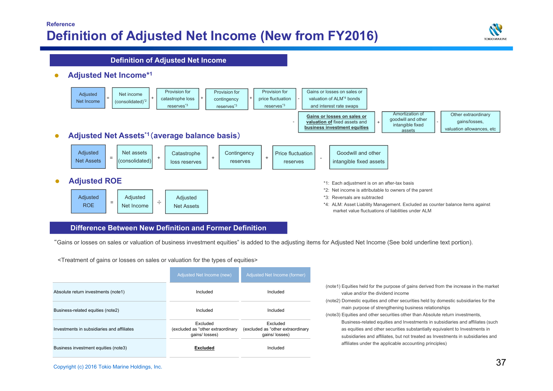## **Reference Definition of Adjusted Net Income (New from FY2016)**



**Definition of Adjusted Net Income**

ò **Adjusted Net Income\*1**



### **Difference Between New Definition and Former Definition**

"Gains or losses on sales or valuation of business investment equities" is added to the adjusting items for Adjusted Net Income (See bold underline text portion).

<Treatment of gains or losses on sales or valuation for the types of equities>

|                                            | Adjusted Net Income (new)                                       | Adjusted Net Income (former)                                    |  |  |
|--------------------------------------------|-----------------------------------------------------------------|-----------------------------------------------------------------|--|--|
| Absolute return investments (note1)        | Included                                                        | Included                                                        |  |  |
| Business-related equities (note2)          | Included                                                        | Included                                                        |  |  |
| Investments in subsidiaries and affiliates | Excluded<br>(excluded as "other extraordinary<br>qains/ losses) | Excluded<br>(excluded as "other extraordinary<br>qains/ losses) |  |  |
| Business investment equities (note3)       | <b>Excluded</b>                                                 | Included                                                        |  |  |

| (note1) Equities held for the purpose of gains derived from the increase in the market |
|----------------------------------------------------------------------------------------|
| value and/or the dividend income                                                       |
| (note2) Domestic equities and other securities held by domestic subsidiaries for the   |
| main purpose of strengthening business relationships                                   |
| (note3) Equities and other securities other than Absolute return investments,          |
| Business-related equities and Investments in subsidiaries and affiliates (such         |
| as equities and other securities substantially equivalent to Investments in            |
| subsidiaries and affiliates, but not treated as Investments in subsidiaries and        |
| affiliates under the applicable accounting principles)                                 |
|                                                                                        |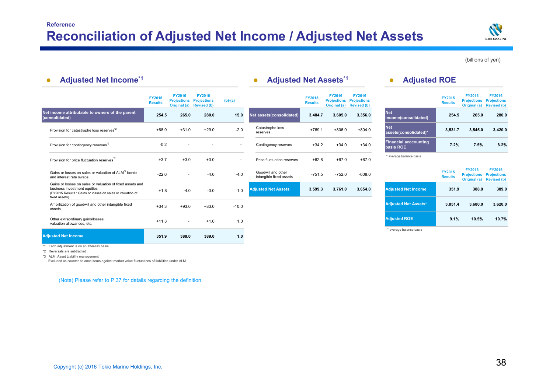

(billions of yen)

| <b>Adjusted Net Income*1</b>    |               |                                                                                          |                                                                                                |                                               |                                 | <b>Adjusted Net Assets*1</b> |                                                           |                                                                                                        | <b>Adjusted ROE</b>             |               |                                                                                                                                                                                |
|---------------------------------|---------------|------------------------------------------------------------------------------------------|------------------------------------------------------------------------------------------------|-----------------------------------------------|---------------------------------|------------------------------|-----------------------------------------------------------|--------------------------------------------------------------------------------------------------------|---------------------------------|---------------|--------------------------------------------------------------------------------------------------------------------------------------------------------------------------------|
| <b>FY2015</b><br><b>Results</b> | <b>FY2016</b> | <b>FY2016</b><br><b>Projections</b><br><b>Revised (b)</b>                                | $(b)-(a)$                                                                                      |                                               | <b>FY2015</b><br><b>Results</b> | <b>FY2016</b>                | <b>FY2016</b><br><b>Projections</b><br><b>Revised (b)</b> |                                                                                                        | <b>FY2015</b><br><b>Results</b> | <b>FY2016</b> | <b>FY2016</b><br><b>Projections</b><br><b>Revised (b)</b>                                                                                                                      |
|                                 |               | 280.0                                                                                    | 15.0                                                                                           | Net assets(consolidated)                      |                                 |                              | 3,356.0                                                   | <b>Net</b><br>income(consolidated)                                                                     |                                 |               | 280.0                                                                                                                                                                          |
|                                 |               | $+29.0$                                                                                  | $-2.0$                                                                                         | Catastrophe loss<br>reserves                  | $+769.1$                        |                              | $+804.0$                                                  | <b>Net</b><br>assets(consolidated)*                                                                    | 3.531.7                         |               | 3,420.0                                                                                                                                                                        |
|                                 |               |                                                                                          | $\sim$                                                                                         | Contingency reserves                          |                                 |                              | $+34.0$                                                   | <b>Financial acccounting</b><br>basis ROE                                                              |                                 |               | 8.2%                                                                                                                                                                           |
|                                 |               | $+3.0$                                                                                   | $\sim$                                                                                         | Price fluctuation reserves                    |                                 |                              | $+67.0$                                                   | * average balance basis                                                                                |                                 |               |                                                                                                                                                                                |
|                                 |               | $-4.0$                                                                                   | $-4.0$                                                                                         | Goodwill and other<br>intangible fixed assets |                                 |                              | $-608.0$                                                  |                                                                                                        | <b>FY2015</b><br><b>Results</b> | <b>FY2016</b> | <b>FY2016</b><br><b>Projections</b><br><b>Revised (b)</b>                                                                                                                      |
|                                 |               | $-3.0$                                                                                   | 1.0                                                                                            | <b>Adiusted Net Assets</b>                    |                                 |                              | 3,654.0                                                   | <b>Adjusted Net Income</b>                                                                             |                                 |               | 389.0                                                                                                                                                                          |
|                                 |               | $+83.0$                                                                                  | $-10.0$                                                                                        |                                               |                                 |                              |                                                           | <b>Adjusted Net Assets*</b>                                                                            |                                 |               | 3,620.0                                                                                                                                                                        |
|                                 | ٠             | $+1.0$                                                                                   | 1.0                                                                                            |                                               |                                 |                              |                                                           | <b>Adjusted ROE</b>                                                                                    |                                 |               | 10.7%                                                                                                                                                                          |
|                                 |               | 389.0                                                                                    | 1.0                                                                                            |                                               |                                 |                              |                                                           | * average balance basis                                                                                |                                 |               |                                                                                                                                                                                |
|                                 |               | 254.5<br>$+68.9$<br>$-0.2$<br>$+3.7$<br>$-22.6$<br>$+1.8$<br>$+34.3$<br>$+11.3$<br>351.9 | <b>Projections</b><br>Original (a)<br>265.0<br>$+31.0$<br>$+3.0$<br>$-4.0$<br>$+93.0$<br>388.0 |                                               |                                 |                              | 3,484.7<br>$+34.2$<br>$+62.8$<br>$-751.5$<br>3,599.3      | <b>Projections</b><br>Original (a)<br>3.605.0<br>$+806.0$<br>$+34.0$<br>$+67.0$<br>$-752.0$<br>3,761.0 |                                 |               | <b>Projections</b><br>Original (a)<br>265.0<br>254.5<br>3,545.0<br>7.2%<br>7.5%<br><b>Projections</b><br>Original (a)<br>388.0<br>351.9<br>3,851.4<br>3,680.0<br>9.1%<br>10.5% |

\*1 Each adjustment is on an after-tax basis

\*2 Reversals are subtracted

\*3 ALM: Asset Liability management

Excluded as counter balance items against market value fluctuations of liabilities under ALM

(Note) Please refer to P.37 for details regarding the definition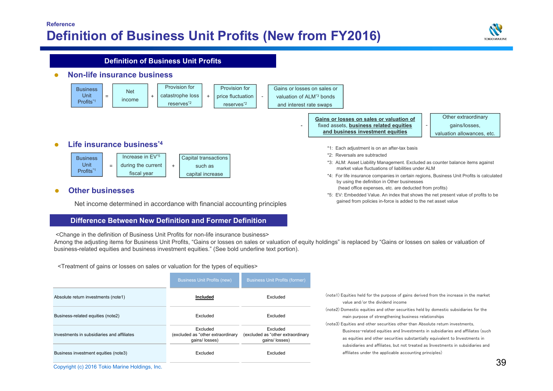## **Reference Definition of Business Unit Profits (New from FY2016)**



#### \*1: Each adjustment is on an after-tax basis \*2: Reversals are subtracted\*3: ALM: Asset Liability Management. Excluded as counter balance items against market value fluctuations of liabilities under ALM \*4: For life insurance companies in certain regions, Business Unit Profits is calculated by using the definition in Other businesses (head office expenses, etc. are deducted from profits)  $\bullet$  **Life insurance business\*4**  $\bullet$  **Non-life insurance business Other businesses Definition of Business Unit ProfitsBusiness** Unit Profits\*1 Net $=$  |  $\frac{1}{2}$  income |  $^+$ Provision forcatastrophe loss reserves\*2 Provision for+ price fluctuation | reserves\*2 Gains or losses on sales orvaluation of ALM\*3 bondsand interest rate swaps **Gains or losses on sales or valuation of Fixed assets, business related equities and business investment equities** Other extraordinary gains/losses, valuation allowances, etc. Increase in EV\*5 during the current fiscal year Capital transactions such ascapital increase = + Business Unit Profits\*1

\*5: EV: Embedded Value. An index that shows the net present value of profits to be gained from policies in-force is added to the net asset value

## $\bullet$

Net income determined in accordance with financial accounting principles

## **Difference Between New Definition and Former Definition**

<Change in the definition of Business Unit Profits for non-life insurance business>

Among the adjusting items for Business Unit Profits, "Gains or losses on sales or valuation of equity holdings" is replaced by "Gains or losses on sales or valuation of business-related equities and business investment equities." (See bold underline text portion).

<Treatment of gains or losses on sales or valuation for the types of equities>

|                                                | <b>Business Unit Profits (new)</b>                              | <b>Business Unit Profits (former)</b>                           |                                                                                                                                                                                                                               |
|------------------------------------------------|-----------------------------------------------------------------|-----------------------------------------------------------------|-------------------------------------------------------------------------------------------------------------------------------------------------------------------------------------------------------------------------------|
| Absolute return investments (note1)            | Included                                                        | Excluded                                                        | (note1) Equities held for the purpose of gains derived from the increase in the market<br>value and/or the dividend income                                                                                                    |
| Business-related equities (note2)              | Excluded                                                        | Excluded                                                        | (note2) Domestic equities and other securities held by domestic subsidiaries for the<br>main purpose of strengthening business relationships<br>(note3) Equities and other securities other than Absolute return investments. |
| Investments in subsidiaries and affiliates     | Excluded<br>(excluded as "other extraordinary<br>qains/ losses) | Excluded<br>(excluded as "other extraordinary<br>qains/ losses) | Business-related equities and Investments in subsidiaries and affiliates (such<br>as equities and other securities substantially equivalent to Investments in                                                                 |
| Business investment equities (note3)           | Excluded                                                        | Excluded                                                        | subsidiaries and affiliates, but not treated as Investments in subsidiaries and<br>affiliates under the applicable accounting principles)                                                                                     |
| Copyright (c) 2016 Tokio Marine Holdings, Inc. |                                                                 |                                                                 |                                                                                                                                                                                                                               |

| (note1) Equities held for the purpose of gains derived from the increase in the market |
|----------------------------------------------------------------------------------------|
| value and/or the dividend income                                                       |
| (note2) Domestic equities and other securities held by domestic subsidiaries for the   |
| main purpose of strengthening business relationships                                   |
| (note3) Equities and other securities other than Absolute return investments.          |
| Business-related equities and Investments in subsidiaries and affiliates (such         |
| as equities and other securities substantially equivalent to Investments in            |
| subsidiaries and affiliates, but not treated as Investments in subsidiaries and        |
| affiliates under the applicable accounting principles)                                 |
|                                                                                        |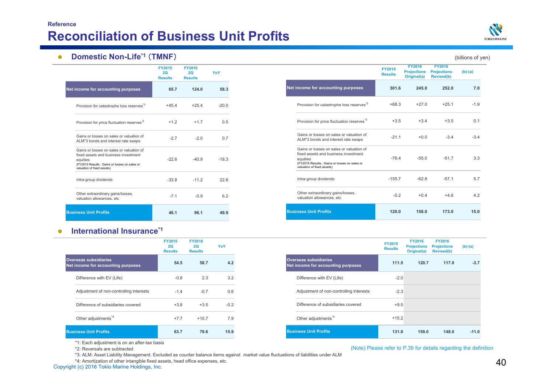## **ReferenceReconciliation of Business Unit Profits**



#### $\bullet$ **Domestic Non-Life<sup>\*1</sup> (TMNF)** (billions of yen)

|                                                                                                                                                                             | <b>FY2015</b><br>2Q<br><b>Results</b> | <b>FY2016</b><br>2Q<br><b>Results</b> | YoY     |                                                                                                                                                                             | <b>FY2015</b><br><b>Results</b> | <b>FY2016</b><br><b>Projections</b><br>Original(a) | <b>FY2016</b><br><b>Projections</b><br><b>Revised(b)</b> |
|-----------------------------------------------------------------------------------------------------------------------------------------------------------------------------|---------------------------------------|---------------------------------------|---------|-----------------------------------------------------------------------------------------------------------------------------------------------------------------------------|---------------------------------|----------------------------------------------------|----------------------------------------------------------|
| income for accounting purposes                                                                                                                                              | 65.7                                  | 124.0                                 | 58.3    | Net income for accounting purposes                                                                                                                                          | 301.6                           | 245.0                                              | 252.0                                                    |
| Provision for catastrophe loss reserves <sup>72</sup>                                                                                                                       | $+45.4$                               | $+25.4$                               | $-20.0$ | Provision for catastrophe loss reserves <sup>72</sup>                                                                                                                       | $+68.3$                         | $+27.0$                                            | $+25.1$                                                  |
| Provision for price fluctuation reserves <sup>72</sup>                                                                                                                      | $+1.2$                                | $+1.7$                                | 0.5     | Provision for price fluctuation reserves <sup>72</sup>                                                                                                                      | $+3.5$                          | $+3.4$                                             | $+3.5$                                                   |
| Gains or losses on sales or valuation of<br>ALM*3 bonds and interest rate swaps                                                                                             | $-2.7$                                | $-2.0$                                | 0.7     | Gains or losses on sales or valuation of<br>ALM*3 bonds and interest rate swaps                                                                                             | $-21.1$                         | $+0.0$                                             | $-3.4$                                                   |
| Gains or losses on sales or valuation of<br>fixed assets and business investment<br>equities<br>(FY2015 Results : Gains or losses on sales or<br>valuation of fixed assets) | $-22.6$                               | $-40.9$                               | $-18.3$ | Gains or losses on sales or valuation of<br>fixed assets and business investment<br>equities<br>(FY2015 Results : Gains or losses on sales or<br>valuation of fixed assets) | $-76.4$                         | $-55.0$                                            | $-51.7$                                                  |
| Intra-group dividends                                                                                                                                                       | $-33.8$                               | $-11.2$                               | 22.6    | Intra-group dividends                                                                                                                                                       | $-155.7$                        | $-62.8$                                            | $-57.1$                                                  |
| Other extraordinary gains/losses,<br>valuation allowances, etc                                                                                                              | $-7.1$                                | $-0.9$                                | 6.2     | Other extraordinary gains/losses,<br>valuation allowances, etc                                                                                                              | $-0.2$                          | $+0.4$                                             | $+4.6$                                                   |
| <b>iness Unit Profits</b>                                                                                                                                                   | 46.1                                  | 96.1                                  | 49.9    | <b>Business Unit Profits</b>                                                                                                                                                | 120.0                           | 158.0                                              | 173.0                                                    |

#### $\bullet$ **International Insurance\*1**

**Net income for accounti** 

**Business Unit Profits**

|                                                                    | <b>FY2015</b><br>20<br><b>Results</b> | <b>FY2016</b><br>20<br><b>Results</b> | YoY    |
|--------------------------------------------------------------------|---------------------------------------|---------------------------------------|--------|
| <b>Overseas subsidiaries</b><br>Net income for accounting purposes | 54.5                                  | 58.7                                  | 4.2    |
| Difference with EV (Life)                                          | $-0.8$                                | 2.3                                   | 3.2    |
| Adjustment of non-controlling interests                            | $-1.4$                                | $-0.7$                                | 0.6    |
| Difference of subsidiaries covered                                 | $+3.8$                                | $+3.5$                                | $-0.2$ |
| Other adjustments <sup>4</sup>                                     | $+7.7$                                | $+15.7$                               | 7.9    |
| <b>Business Unit Profits</b>                                       | 63.7                                  | 79.6                                  | 15.9   |

|                                                                    | <b>FY2015</b><br><b>Results</b> | <b>FY2016</b><br><b>Projections</b><br>Original(a) | <b>FY2016</b><br><b>Projections</b><br><b>Revised(b)</b> | $(b)-(a)$ |
|--------------------------------------------------------------------|---------------------------------|----------------------------------------------------|----------------------------------------------------------|-----------|
| <b>Overseas subsidiaries</b><br>Net income for accounting purposes | 111.5                           | 120.7                                              | 117.0                                                    | $-3.7$    |
| Difference with EV (Life)                                          | $-2.0$                          |                                                    |                                                          |           |
| Adjustment of non-controlling interests                            | $-2.3$                          |                                                    |                                                          |           |
| Difference of subsidiaries covered                                 | $+9.5$                          |                                                    |                                                          |           |
| Other adjustments <sup>*4</sup>                                    | $+15.2$                         |                                                    |                                                          |           |
| <b>Business Unit Profits</b>                                       | 131.8                           | 159.0                                              | 148.0                                                    | $-11.0$   |

\*1: Each adjustment is on an after-tax basis

\*2: Reversals are subtracted

\*3: ALM: Asset Liability Management. Excluded as counter balance items against market value fluctuations of liabilities under ALM

\*4: Amortization of other intangible fixed assets, head office expenses, etc.  $40$ <br>Copyright (c) 2016 Tokio Marine Holdings, Inc.  $\,$ 

### (Note) Please refer to P.39 for details regarding the definition